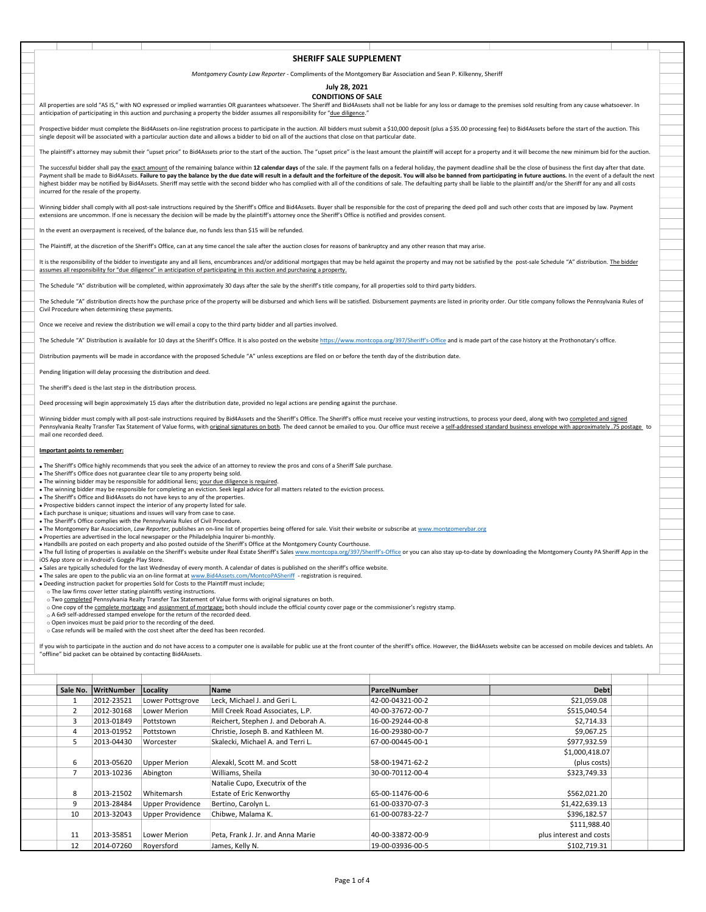## SHERIFF SALE SUPPLEMENT

Montgomery County Law Reporter - Compliments of the Montgomery Bar Association and Sean P. Kilkenny, Sheriff

## July 28, 2021

CONDITIONS OF SALE<br>All properties are sold "AS IS." with NO expressed or implied warranties OR guarantees whatsoever. The Sheriff and Bid4Assets shall not be liable for any loss or damage to the premises sold resulting fro anticipation of participating in this auction and purchasing a property the bidder assumes all responsibility for "due diligence."

Prospective bidder must complete the Bid4Assets on-line registration process to participate in the auction. All bidders must submit a \$10,000 deposit (plus a \$35.00 processing fee) to Bid4Assets before the start of the auc

SHERIFF SALE SUPPLEMENT<br>
Montgomery County Law Reporter - Compliments of the Montgomery Bar Association and Sean P. Kilkenny, Sheriff<br>
Interpretent and "AS IS," with NO expressed or implied varianties of expansives whatsoe SHERIFF SALE SUPPLEMENT<br>
Mortgomery County Law Reporter - Compliments of the Mortgomery Bar Association and Sear P. Killenny, Sheriff<br>
CONDITIONS OF SALE<br>
Simple for any loss of distribution and purchasing a property the b **SHERIFF SALE SUPPLEMENT**<br>All properties are sold AS its with the operation of mightig warranties Of its area and the Montgomery Early Association and Sean P. Kilkening, Sheriff<br>All properties are sold AS is with the opera **SHERIFF SALE SUPPLEMENT**<br>All properties are note<sup>7</sup>54.5C, with ND contents of institute section of *Papertic* - Compliments of the Montgomery Rar Association and Sean P. Kilkenny, Sheeff<br>All properties are noted for the N **SHERIFF SALE SUPPLEMENT**<br>All properties on cale "AS 5," with NO expressed or implies worriented of generation with complete the Marketian in distinct Beach are all properties on the Marketian and Sean P. Ellienty, Secific incurred for the resale of the property.  $\label{th:20} \frac{\text{SHRFF SME SMPN} \text{SMPN} \text{SMPN} \text{SMPN} \text{SMPN} \text{SMPN} \text{SMPN} \text{SMPN} \text{SMPN} \text{SMPN} \text{SMPN} \text{SMPN} \text{SMPN} \text{SMPN} \text{SMPN} \text{SMPN} \text{SMPN} \text{SMPN} \text{SMPN} \text{SMPN} \text{SMPN} \text{SMPN} \text{SMPN} \text{SMPN} \text{SMPN} \text{SMPN} \text{SMPN} \text{SMPN} \text{SMPN} \text$ **SHERF SALE SUPPLEMENT**<br>
Monotony party of a will be complete the schedule and the Schedule Complete of Andreas Complete the Schedule And a Finance But the sale of the sale of the sale of the Schedule Complete the Schedul improvides and a material control of the state of the state of the state of the state of the state of the state of the state of the state of the state of the state of the state of the state of the state of the state of the

Winning bidder shall comply with all post-sale instructions required by the Sheriff's Office and Bid4Assets. Buyer shall be responsible for the cost of preparing the deed poll and such other costs that are imposed by law. extensions are uncommon. If one is necessary the decision will be made by the plaintiff's attorney once the Sheriff's Office is notified and provides consent.

In the event an overpayment is received, of the balance due, no funds less than \$15 will be refu

The Plaintiff, at the discretion of the Sheriff's Office, can at any time cancel the sale after the auction closes for reasons of bankruptcy and any other reason that may arise.

assumes all responsibility for "due diligence" in anticipation of participating in this auction and purchasing a property.

## Important points to remember:

- The Sheriff's Office does not guarantee clear tile to any property being sold.
- 
- The winning bidder may be responsible for additional liens; <u>your due diligence is required</u>.<br>• The winning bidder may be responsible for completing an eviction. Seek legal advice for all matters related to the eviction
- The Sheriff's Office and Bid4Assets do not have keys to any of the properties. Prospective bidders cannot inspect the interior of any property listed for sale.
- Each purchase is unique; situations and issues will vary from case to case.
- The Sheriff's Office complies with the Pennsylvania Rules of Civil Procedure.
- The Montgomery Bar Association, Law Reporter, publishes an on-line list of properties being offered for sale. Visit their website or subscribe at www.montgomery
- Properties are advertised in the local newspaper or the Philadelphia Inquirer bi-monthly.
- 

- 
- 
- 
- 
- 
- 

| The Schedule "A" distribution will be completed, within approximately 30 days after the sale by the sheriff's title company, for all properties sold to third party bidders.                                                                                                                                                                                                                                                                                                                |                                                  |                                                                                                                                                                     |                                                                                                                                                                                                                                                                          |                                      |                                                                                                                                                                                                                                |  |  |  |  |  |  |  |  |  |
|---------------------------------------------------------------------------------------------------------------------------------------------------------------------------------------------------------------------------------------------------------------------------------------------------------------------------------------------------------------------------------------------------------------------------------------------------------------------------------------------|--------------------------------------------------|---------------------------------------------------------------------------------------------------------------------------------------------------------------------|--------------------------------------------------------------------------------------------------------------------------------------------------------------------------------------------------------------------------------------------------------------------------|--------------------------------------|--------------------------------------------------------------------------------------------------------------------------------------------------------------------------------------------------------------------------------|--|--|--|--|--|--|--|--|--|
|                                                                                                                                                                                                                                                                                                                                                                                                                                                                                             | Civil Procedure when determining these payments. |                                                                                                                                                                     |                                                                                                                                                                                                                                                                          |                                      | The Schedule "A" distribution directs how the purchase price of the property will be disbursed and which liens will be satisfied. Disbursement payments are listed in priority order. Our title company follows the Pennsylvan |  |  |  |  |  |  |  |  |  |
| Once we receive and review the distribution we will email a copy to the third party bidder and all parties involved.                                                                                                                                                                                                                                                                                                                                                                        |                                                  |                                                                                                                                                                     |                                                                                                                                                                                                                                                                          |                                      |                                                                                                                                                                                                                                |  |  |  |  |  |  |  |  |  |
| The Schedule "A" Distribution is available for 10 days at the Sheriff's Office. It is also posted on the website https://www.montcopa.org/397/Sheriff's-Office and is made part of the case history at the Prothonotary's offi                                                                                                                                                                                                                                                              |                                                  |                                                                                                                                                                     |                                                                                                                                                                                                                                                                          |                                      |                                                                                                                                                                                                                                |  |  |  |  |  |  |  |  |  |
| Distribution payments will be made in accordance with the proposed Schedule "A" unless exceptions are filed on or before the tenth day of the distribution date.                                                                                                                                                                                                                                                                                                                            |                                                  |                                                                                                                                                                     |                                                                                                                                                                                                                                                                          |                                      |                                                                                                                                                                                                                                |  |  |  |  |  |  |  |  |  |
| Pending litigation will delay processing the distribution and deed.                                                                                                                                                                                                                                                                                                                                                                                                                         |                                                  |                                                                                                                                                                     |                                                                                                                                                                                                                                                                          |                                      |                                                                                                                                                                                                                                |  |  |  |  |  |  |  |  |  |
| The sheriff's deed is the last step in the distribution process.                                                                                                                                                                                                                                                                                                                                                                                                                            |                                                  |                                                                                                                                                                     |                                                                                                                                                                                                                                                                          |                                      |                                                                                                                                                                                                                                |  |  |  |  |  |  |  |  |  |
| Deed processing will begin approximately 15 days after the distribution date, provided no legal actions are pending against the purchase.                                                                                                                                                                                                                                                                                                                                                   |                                                  |                                                                                                                                                                     |                                                                                                                                                                                                                                                                          |                                      |                                                                                                                                                                                                                                |  |  |  |  |  |  |  |  |  |
| Winning bidder must comply with all post-sale instructions required by Bid4Assets and the Sheriff's Office. The Sheriff's office must receive your vesting instructions, to process your deed, along with two completed and si<br>Pennsylvania Realty Transfer Tax Statement of Value forms, with original signatures on both. The deed cannot be emailed to you. Our office must receive a self-addressed standard business envelope with approximately .75 pos<br>mail one recorded deed. |                                                  |                                                                                                                                                                     |                                                                                                                                                                                                                                                                          |                                      |                                                                                                                                                                                                                                |  |  |  |  |  |  |  |  |  |
| Important points to remember:                                                                                                                                                                                                                                                                                                                                                                                                                                                               |                                                  |                                                                                                                                                                     |                                                                                                                                                                                                                                                                          |                                      |                                                                                                                                                                                                                                |  |  |  |  |  |  |  |  |  |
| . The Sheriff's Office highly recommends that you seek the advice of an attorney to review the pros and cons of a Sheriff Sale purchase.                                                                                                                                                                                                                                                                                                                                                    |                                                  |                                                                                                                                                                     |                                                                                                                                                                                                                                                                          |                                      |                                                                                                                                                                                                                                |  |  |  |  |  |  |  |  |  |
| . The Sheriff's Office does not guarantee clear tile to any property being sold.<br>• The winning bidder may be responsible for additional liens; your due diligence is required.                                                                                                                                                                                                                                                                                                           |                                                  |                                                                                                                                                                     |                                                                                                                                                                                                                                                                          |                                      |                                                                                                                                                                                                                                |  |  |  |  |  |  |  |  |  |
|                                                                                                                                                                                                                                                                                                                                                                                                                                                                                             |                                                  |                                                                                                                                                                     | . The winning bidder may be responsible for completing an eviction. Seek legal advice for all matters related to the eviction process.                                                                                                                                   |                                      |                                                                                                                                                                                                                                |  |  |  |  |  |  |  |  |  |
|                                                                                                                                                                                                                                                                                                                                                                                                                                                                                             |                                                  | . The Sheriff's Office and Bid4Assets do not have keys to any of the properties.                                                                                    |                                                                                                                                                                                                                                                                          |                                      |                                                                                                                                                                                                                                |  |  |  |  |  |  |  |  |  |
|                                                                                                                                                                                                                                                                                                                                                                                                                                                                                             |                                                  | . Prospective bidders cannot inspect the interior of any property listed for sale.<br>. Each purchase is unique; situations and issues will vary from case to case. |                                                                                                                                                                                                                                                                          |                                      |                                                                                                                                                                                                                                |  |  |  |  |  |  |  |  |  |
|                                                                                                                                                                                                                                                                                                                                                                                                                                                                                             |                                                  | . The Sheriff's Office complies with the Pennsylvania Rules of Civil Procedure.                                                                                     |                                                                                                                                                                                                                                                                          |                                      |                                                                                                                                                                                                                                |  |  |  |  |  |  |  |  |  |
|                                                                                                                                                                                                                                                                                                                                                                                                                                                                                             |                                                  |                                                                                                                                                                     | . The Montgomery Bar Association, Law Reporter, publishes an on-line list of properties being offered for sale. Visit their website or subscribe at www.montgomerybar.org<br>. Properties are advertised in the local newspaper or the Philadelphia Inquirer bi-monthly. |                                      |                                                                                                                                                                                                                                |  |  |  |  |  |  |  |  |  |
|                                                                                                                                                                                                                                                                                                                                                                                                                                                                                             |                                                  |                                                                                                                                                                     | . Handbills are posted on each property and also posted outside of the Sheriff's Office at the Montgomery County Courthouse.                                                                                                                                             |                                      |                                                                                                                                                                                                                                |  |  |  |  |  |  |  |  |  |
|                                                                                                                                                                                                                                                                                                                                                                                                                                                                                             |                                                  |                                                                                                                                                                     |                                                                                                                                                                                                                                                                          |                                      | . The full listing of properties is available on the Sheriff's website under Real Estate Sheriff's Sales www.montcopa.org/397/Sheriff's-Office or you can also stay up-to-date by downloading the Montgomery County PA Sheriff |  |  |  |  |  |  |  |  |  |
|                                                                                                                                                                                                                                                                                                                                                                                                                                                                                             | iOS App store or in Android's Goggle Play Store. |                                                                                                                                                                     |                                                                                                                                                                                                                                                                          |                                      |                                                                                                                                                                                                                                |  |  |  |  |  |  |  |  |  |
|                                                                                                                                                                                                                                                                                                                                                                                                                                                                                             |                                                  |                                                                                                                                                                     | . Sales are typically scheduled for the last Wednesday of every month. A calendar of dates is published on the sheriff's office website.<br>. The sales are open to the public via an on-line format at www.Bid4Assets.com/MontcoPASheriff - registration is required.   |                                      |                                                                                                                                                                                                                                |  |  |  |  |  |  |  |  |  |
|                                                                                                                                                                                                                                                                                                                                                                                                                                                                                             |                                                  | . Deeding instruction packet for properties Sold for Costs to the Plaintiff must include;                                                                           |                                                                                                                                                                                                                                                                          |                                      |                                                                                                                                                                                                                                |  |  |  |  |  |  |  |  |  |
|                                                                                                                                                                                                                                                                                                                                                                                                                                                                                             |                                                  | o The law firms cover letter stating plaintiffs vesting instructions.                                                                                               | o Two completed Pennsylvania Realty Transfer Tax Statement of Value forms with original signatures on both.                                                                                                                                                              |                                      |                                                                                                                                                                                                                                |  |  |  |  |  |  |  |  |  |
|                                                                                                                                                                                                                                                                                                                                                                                                                                                                                             |                                                  |                                                                                                                                                                     |                                                                                                                                                                                                                                                                          |                                      |                                                                                                                                                                                                                                |  |  |  |  |  |  |  |  |  |
|                                                                                                                                                                                                                                                                                                                                                                                                                                                                                             |                                                  |                                                                                                                                                                     | o One copy of the complete mortgage and assignment of mortgage; both should include the official county cover page or the commissioner's registry stamp.<br>o A 6x9 self-addressed stamped envelope for the return of the recorded deed.                                 |                                      |                                                                                                                                                                                                                                |  |  |  |  |  |  |  |  |  |
|                                                                                                                                                                                                                                                                                                                                                                                                                                                                                             |                                                  |                                                                                                                                                                     |                                                                                                                                                                                                                                                                          |                                      |                                                                                                                                                                                                                                |  |  |  |  |  |  |  |  |  |
|                                                                                                                                                                                                                                                                                                                                                                                                                                                                                             |                                                  | o Open invoices must be paid prior to the recording of the deed.                                                                                                    |                                                                                                                                                                                                                                                                          |                                      |                                                                                                                                                                                                                                |  |  |  |  |  |  |  |  |  |
|                                                                                                                                                                                                                                                                                                                                                                                                                                                                                             |                                                  | o Case refunds will be mailed with the cost sheet after the deed has been recorded.                                                                                 |                                                                                                                                                                                                                                                                          |                                      |                                                                                                                                                                                                                                |  |  |  |  |  |  |  |  |  |
|                                                                                                                                                                                                                                                                                                                                                                                                                                                                                             |                                                  |                                                                                                                                                                     |                                                                                                                                                                                                                                                                          |                                      | If you wish to participate in the auction and do not have access to a computer one is available for public use at the front counter of the sheriff's office. However, the Bid4Assets website can be accessed on mobile devices |  |  |  |  |  |  |  |  |  |
|                                                                                                                                                                                                                                                                                                                                                                                                                                                                                             |                                                  | "offline" bid packet can be obtained by contacting Bid4Assets.                                                                                                      |                                                                                                                                                                                                                                                                          |                                      |                                                                                                                                                                                                                                |  |  |  |  |  |  |  |  |  |
|                                                                                                                                                                                                                                                                                                                                                                                                                                                                                             |                                                  |                                                                                                                                                                     |                                                                                                                                                                                                                                                                          |                                      |                                                                                                                                                                                                                                |  |  |  |  |  |  |  |  |  |
|                                                                                                                                                                                                                                                                                                                                                                                                                                                                                             |                                                  |                                                                                                                                                                     |                                                                                                                                                                                                                                                                          |                                      |                                                                                                                                                                                                                                |  |  |  |  |  |  |  |  |  |
|                                                                                                                                                                                                                                                                                                                                                                                                                                                                                             | Sale No. WritNumber                              | Locality                                                                                                                                                            | Name                                                                                                                                                                                                                                                                     | ParcelNumber                         | <b>Debt</b>                                                                                                                                                                                                                    |  |  |  |  |  |  |  |  |  |
| 1                                                                                                                                                                                                                                                                                                                                                                                                                                                                                           | 2012-23521                                       | Lower Pottsgrove                                                                                                                                                    | Leck, Michael J. and Geri L.                                                                                                                                                                                                                                             | 42-00-04321-00-2                     | \$21,059.08                                                                                                                                                                                                                    |  |  |  |  |  |  |  |  |  |
| $\overline{2}$                                                                                                                                                                                                                                                                                                                                                                                                                                                                              | 2012-30168                                       | Lower Merion                                                                                                                                                        | Mill Creek Road Associates, L.P.                                                                                                                                                                                                                                         | 40-00-37672-00-7                     | \$515,040.54                                                                                                                                                                                                                   |  |  |  |  |  |  |  |  |  |
| 3                                                                                                                                                                                                                                                                                                                                                                                                                                                                                           | 2013-01849                                       | Pottstown                                                                                                                                                           | Reichert, Stephen J. and Deborah A.                                                                                                                                                                                                                                      | 16-00-29244-00-8                     | \$2,714.33                                                                                                                                                                                                                     |  |  |  |  |  |  |  |  |  |
| $\overline{4}$                                                                                                                                                                                                                                                                                                                                                                                                                                                                              | 2013-01952                                       | Pottstown                                                                                                                                                           | Christie, Joseph B. and Kathleen M.                                                                                                                                                                                                                                      | 16-00-29380-00-7                     | \$9,067.25                                                                                                                                                                                                                     |  |  |  |  |  |  |  |  |  |
| 5                                                                                                                                                                                                                                                                                                                                                                                                                                                                                           | 2013-04430                                       | Worcester                                                                                                                                                           | Skalecki, Michael A. and Terri L.                                                                                                                                                                                                                                        | 67-00-00445-00-1                     | \$977,932.59                                                                                                                                                                                                                   |  |  |  |  |  |  |  |  |  |
|                                                                                                                                                                                                                                                                                                                                                                                                                                                                                             |                                                  |                                                                                                                                                                     |                                                                                                                                                                                                                                                                          |                                      | \$1,000,418.07                                                                                                                                                                                                                 |  |  |  |  |  |  |  |  |  |
| 6                                                                                                                                                                                                                                                                                                                                                                                                                                                                                           | 2013-05620                                       | <b>Upper Merion</b>                                                                                                                                                 | Alexakl, Scott M. and Scott                                                                                                                                                                                                                                              | 58-00-19471-62-2                     | (plus costs)                                                                                                                                                                                                                   |  |  |  |  |  |  |  |  |  |
| $\overline{7}$                                                                                                                                                                                                                                                                                                                                                                                                                                                                              | 2013-10236                                       | Abington                                                                                                                                                            | Williams, Sheila                                                                                                                                                                                                                                                         | 30-00-70112-00-4                     | \$323,749.33                                                                                                                                                                                                                   |  |  |  |  |  |  |  |  |  |
|                                                                                                                                                                                                                                                                                                                                                                                                                                                                                             |                                                  |                                                                                                                                                                     | Natalie Cupo, Executrix of the                                                                                                                                                                                                                                           |                                      |                                                                                                                                                                                                                                |  |  |  |  |  |  |  |  |  |
| 8                                                                                                                                                                                                                                                                                                                                                                                                                                                                                           | 2013-21502                                       | Whitemarsh                                                                                                                                                          | Estate of Eric Kenworthy                                                                                                                                                                                                                                                 | 65-00-11476-00-6                     | \$562,021.20                                                                                                                                                                                                                   |  |  |  |  |  |  |  |  |  |
| 9                                                                                                                                                                                                                                                                                                                                                                                                                                                                                           | 2013-28484                                       | <b>Upper Providence</b>                                                                                                                                             | Bertino, Carolyn L.                                                                                                                                                                                                                                                      | 61-00-03370-07-3                     | \$1,422,639.13                                                                                                                                                                                                                 |  |  |  |  |  |  |  |  |  |
| 10                                                                                                                                                                                                                                                                                                                                                                                                                                                                                          | 2013-32043                                       | <b>Upper Providence</b>                                                                                                                                             | Chibwe, Malama K.                                                                                                                                                                                                                                                        | 61-00-00783-22-7                     | \$396,182.57                                                                                                                                                                                                                   |  |  |  |  |  |  |  |  |  |
|                                                                                                                                                                                                                                                                                                                                                                                                                                                                                             |                                                  |                                                                                                                                                                     |                                                                                                                                                                                                                                                                          |                                      | \$111,988.40                                                                                                                                                                                                                   |  |  |  |  |  |  |  |  |  |
| 11<br>12                                                                                                                                                                                                                                                                                                                                                                                                                                                                                    | 2013-35851<br>2014-07260                         | Lower Merion<br>Royersford                                                                                                                                          | Peta, Frank J. Jr. and Anna Marie<br>James, Kelly N.                                                                                                                                                                                                                     | 40-00-33872-00-9<br>19-00-03936-00-5 | plus interest and costs<br>\$102,719.31                                                                                                                                                                                        |  |  |  |  |  |  |  |  |  |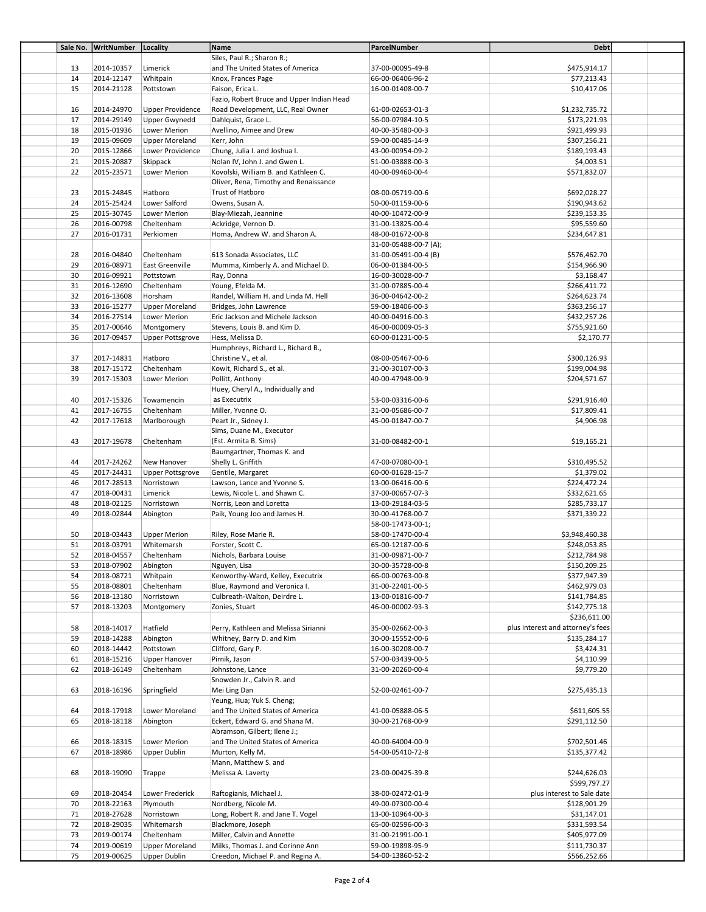| \$475,914.17<br>13<br>2014-10357<br>Limerick<br>and The United States of America<br>37-00-00095-49-8<br>14<br>2014-12147<br>Whitpain<br>Knox, Frances Page<br>66-00-06406-96-2<br>\$77,213.43<br>15<br>2014-21128<br>\$10,417.06<br>Pottstown<br>Faison, Erica L.<br>16-00-01408-00-7<br>Fazio, Robert Bruce and Upper Indian Head<br>16<br>2014-24970<br><b>Upper Providence</b><br>Road Development, LLC, Real Owner<br>61-00-02653-01-3<br>\$1,232,735.72<br>17<br>2014-29149<br>Upper Gwynedd<br>Dahlquist, Grace L.<br>56-00-07984-10-5<br>\$173,221.93<br>18<br>2015-01936<br>Lower Merion<br>Avellino, Aimee and Drew<br>40-00-35480-00-3<br>\$921,499.93<br>19<br>2015-09609<br><b>Upper Moreland</b><br>Kerr, John<br>59-00-00485-14-9<br>\$307,256.21<br>20<br>2015-12866<br>Lower Providence<br>Chung, Julia I. and Joshua I.<br>43-00-00954-09-2<br>\$189,193.43<br>21<br>2015-20887<br>Skippack<br>Nolan IV, John J. and Gwen L.<br>51-00-03888-00-3<br>\$4,003.51<br>22<br>2015-23571<br>\$571,832.07<br>Lower Merion<br>Kovolski, William B. and Kathleen C.<br>40-00-09460-00-4<br>Oliver, Rena, Timothy and Renaissance<br>2015-24845<br>23<br>Hatboro<br>Trust of Hatboro<br>08-00-05719-00-6<br>\$692,028.27<br>24<br>2015-25424<br>Lower Salford<br>Owens, Susan A.<br>50-00-01159-00-6<br>\$190,943.62<br>25<br>2015-30745<br>Lower Merion<br>Blay-Miezah, Jeannine<br>40-00-10472-00-9<br>\$239,153.35<br>26<br>2016-00798<br>Cheltenham<br>Ackridge, Vernon D.<br>31-00-13825-00-4<br>\$95,559.60<br>27<br>2016-01731<br>Perkiomen<br>Homa, Andrew W. and Sharon A.<br>48-00-01672-00-8<br>\$234,647.81<br>31-00-05488-00-7 (A);<br>28<br>2016-04840<br>Cheltenham<br>613 Sonada Associates, LLC<br>31-00-05491-00-4 (B)<br>\$576,462.70<br>29<br>2016-08971<br>East Greenville<br>Mumma, Kimberly A. and Michael D.<br>06-00-01384-00-5<br>\$154,966.90<br>30<br>2016-09921<br>Pottstown<br>Ray, Donna<br>16-00-30028-00-7<br>\$3,168.47<br>2016-12690<br>31<br>Cheltenham<br>Young, Efelda M.<br>31-00-07885-00-4<br>\$266,411.72<br>32<br>2016-13608<br>Horsham<br>Randel, William H. and Linda M. Hell<br>36-00-04642-00-2<br>\$264,623.74<br>33<br>2016-15277<br><b>Upper Moreland</b><br>Bridges, John Lawrence<br>59-00-18406-00-3<br>\$363,256.17<br>34<br>2016-27514<br>Lower Merion<br>Eric Jackson and Michele Jackson<br>40-00-04916-00-3<br>\$432,257.26<br>35<br>2017-00646<br>Montgomery<br>Stevens, Louis B. and Kim D.<br>46-00-00009-05-3<br>\$755,921.60<br>36<br>2017-09457<br><b>Upper Pottsgrove</b><br>Hess, Melissa D.<br>60-00-01231-00-5<br>\$2,170.77<br>Humphreys, Richard L., Richard B.,<br>\$300,126.93<br>37<br>2017-14831<br>Hatboro<br>Christine V., et al.<br>08-00-05467-00-6<br>38<br>2017-15172<br>\$199,004.98<br>Cheltenham<br>Kowit, Richard S., et al.<br>31-00-30107-00-3<br>39<br>2017-15303<br>Lower Merion<br>Pollitt, Anthony<br>40-00-47948-00-9<br>\$204,571.67<br>Huey, Cheryl A., Individually and<br>\$291,916.40<br>40<br>2017-15326<br>Towamencin<br>as Executrix<br>53-00-03316-00-6<br>41<br>2017-16755<br>Cheltenham<br>Miller, Yvonne O.<br>31-00-05686-00-7<br>\$17,809.41<br>42<br>\$4,906.98<br>2017-17618<br>Marlborough<br>Peart Jr., Sidney J.<br>45-00-01847-00-7<br>Sims, Duane M., Executor<br>43<br>2017-19678<br>Cheltenham<br>(Est. Armita B. Sims)<br>31-00-08482-00-1<br>\$19,165.21<br>Baumgartner, Thomas K. and<br>44<br>2017-24262<br>Shelly L. Griffith<br>47-00-07080-00-1<br>\$310,495.52<br>New Hanover<br>45<br>2017-24431<br><b>Upper Pottsgrove</b><br>Gentile, Margaret<br>60-00-01628-15-7<br>\$1,379.02<br>46<br>2017-28513<br>\$224,472.24<br>Norristown<br>Lawson, Lance and Yvonne S.<br>13-00-06416-00-6<br>47<br>2018-00431<br>Limerick<br>Lewis, Nicole L. and Shawn C.<br>37-00-00657-07-3<br>\$332,621.65<br>48<br>2018-02125<br>Norristown<br>Norris, Leon and Loretta<br>13-00-29184-03-5<br>\$285,733.17<br>49<br>2018-02844<br>Abington<br>Paik, Young Joo and James H.<br>30-00-41768-00-7<br>\$371,339.22<br>58-00-17473-00-1;<br>50<br>2018-03443<br><b>Upper Merion</b><br>Riley, Rose Marie R.<br>58-00-17470-00-4<br>\$3,948,460.38<br>51<br>2018-03791<br>Whitemarsh<br>Forster, Scott C.<br>65-00-12187-00-6<br>\$248,053.85<br>52<br>2018-04557<br>Cheltenham<br>Nichols, Barbara Louise<br>31-00-09871-00-7<br>\$212,784.98<br>53<br>2018-07902<br>Abington<br>Nguyen, Lisa<br>30-00-35728-00-8<br>\$150,209.25<br>54<br>2018-08721<br>Kenworthy-Ward, Kelley, Executrix<br>Whitpain<br>66-00-00763-00-8<br>\$377,947.39<br>2018-08801<br>\$462,979.03<br>55<br>Cheltenham<br>Blue, Raymond and Veronica I.<br>31-00-22401-00-5<br>2018-13180<br>Norristown<br>56<br>Culbreath-Walton, Deirdre L.<br>13-00-01816-00-7<br>\$141,784.85<br>57<br>\$142,775.18<br>2018-13203<br>Montgomery<br>Zonies, Stuart<br>46-00-00002-93-3<br>\$236,611.00<br>2018-14017<br>58<br>Hatfield<br>Perry, Kathleen and Melissa Sirianni<br>35-00-02662-00-3<br>plus interest and attorney's fees<br>\$135,284.17<br>59<br>2018-14288<br>Abington<br>Whitney, Barry D. and Kim<br>30-00-15552-00-6<br>2018-14442<br>\$3,424.31<br>60<br>Pottstown<br>Clifford, Gary P.<br>16-00-30208-00-7<br>61<br>2018-15216<br><b>Upper Hanover</b><br>Pirnik, Jason<br>57-00-03439-00-5<br>\$4,110.99<br>62<br>2018-16149<br>\$9,779.20<br>Cheltenham<br>Johnstone, Lance<br>31-00-20260-00-4<br>Snowden Jr., Calvin R. and<br>63<br>2018-16196<br>Springfield<br>Mei Ling Dan<br>52-00-02461-00-7<br>\$275,435.13<br>Yeung, Hua; Yuk S. Cheng;<br>64<br>2018-17918<br>Lower Moreland<br>and The United States of America<br>41-00-05888-06-5<br>\$611,605.55<br>65<br>2018-18118<br>Abington<br>Eckert, Edward G. and Shana M.<br>30-00-21768-00-9<br>\$291,112.50<br>Abramson, Gilbert; Ilene J.;<br>66<br>2018-18315<br>Lower Merion<br>and The United States of America<br>40-00-64004-00-9<br>\$702,501.46<br>67<br>2018-18986<br><b>Upper Dublin</b><br>Murton, Kelly M.<br>54-00-05410-72-8<br>\$135,377.42<br>Mann, Matthew S. and<br>68<br>2018-19090<br>Melissa A. Laverty<br>23-00-00425-39-8<br>\$244,626.03<br>Trappe<br>\$599,797.27<br>69<br>2018-20454<br>Lower Frederick<br>Raftogianis, Michael J.<br>38-00-02472-01-9<br>plus interest to Sale date<br>2018-22163<br>70<br>Plymouth<br>Nordberg, Nicole M.<br>49-00-07300-00-4<br>\$128,901.29<br>71<br>2018-27628<br>Norristown<br>Long, Robert R. and Jane T. Vogel<br>13-00-10964-00-3<br>\$31,147.01<br>2018-29035<br>72<br>Whitemarsh<br>Blackmore, Joseph<br>65-00-02596-00-3<br>\$331,593.54<br>73<br>2019-00174<br>Cheltenham<br>Miller, Calvin and Annette<br>31-00-21991-00-1<br>\$405,977.09<br>74<br>2019-00619<br><b>Upper Moreland</b><br>Milks, Thomas J. and Corinne Ann<br>59-00-19898-95-9<br>\$111,730.37<br>75<br>Creedon, Michael P. and Regina A. | Sale No. | WritNumber | Locality            | Name                       | ParcelNumber     | Debt         |  |
|------------------------------------------------------------------------------------------------------------------------------------------------------------------------------------------------------------------------------------------------------------------------------------------------------------------------------------------------------------------------------------------------------------------------------------------------------------------------------------------------------------------------------------------------------------------------------------------------------------------------------------------------------------------------------------------------------------------------------------------------------------------------------------------------------------------------------------------------------------------------------------------------------------------------------------------------------------------------------------------------------------------------------------------------------------------------------------------------------------------------------------------------------------------------------------------------------------------------------------------------------------------------------------------------------------------------------------------------------------------------------------------------------------------------------------------------------------------------------------------------------------------------------------------------------------------------------------------------------------------------------------------------------------------------------------------------------------------------------------------------------------------------------------------------------------------------------------------------------------------------------------------------------------------------------------------------------------------------------------------------------------------------------------------------------------------------------------------------------------------------------------------------------------------------------------------------------------------------------------------------------------------------------------------------------------------------------------------------------------------------------------------------------------------------------------------------------------------------------------------------------------------------------------------------------------------------------------------------------------------------------------------------------------------------------------------------------------------------------------------------------------------------------------------------------------------------------------------------------------------------------------------------------------------------------------------------------------------------------------------------------------------------------------------------------------------------------------------------------------------------------------------------------------------------------------------------------------------------------------------------------------------------------------------------------------------------------------------------------------------------------------------------------------------------------------------------------------------------------------------------------------------------------------------------------------------------------------------------------------------------------------------------------------------------------------------------------------------------------------------------------------------------------------------------------------------------------------------------------------------------------------------------------------------------------------------------------------------------------------------------------------------------------------------------------------------------------------------------------------------------------------------------------------------------------------------------------------------------------------------------------------------------------------------------------------------------------------------------------------------------------------------------------------------------------------------------------------------------------------------------------------------------------------------------------------------------------------------------------------------------------------------------------------------------------------------------------------------------------------------------------------------------------------------------------------------------------------------------------------------------------------------------------------------------------------------------------------------------------------------------------------------------------------------------------------------------------------------------------------------------------------------------------------------------------------------------------------------------------------------------------------------------------------------------------------------------------------------------------------------------------------------------------------------------------------------------------------------------------------------------------------------------------------------------------------------------------------------------------------------------------------------------------------------------------------------------------------------------------------------------------------------------------------------------------------------------------------------------------------------------------------------------------------------------------------------------------------------------------------------------------------------------------------------------------------------------------------------------------------------------------------------------------------------------------------------------------------------------------------------------------------------------------------------------------------------------------------------------------------------------------------------------------------------------------------------------------------------------------------------------------------------------------------------------------------------------------------------------------------------------------------------------------------------------------------------------------------------------------------------------------------------------------------------------------------------------------------------------|----------|------------|---------------------|----------------------------|------------------|--------------|--|
|                                                                                                                                                                                                                                                                                                                                                                                                                                                                                                                                                                                                                                                                                                                                                                                                                                                                                                                                                                                                                                                                                                                                                                                                                                                                                                                                                                                                                                                                                                                                                                                                                                                                                                                                                                                                                                                                                                                                                                                                                                                                                                                                                                                                                                                                                                                                                                                                                                                                                                                                                                                                                                                                                                                                                                                                                                                                                                                                                                                                                                                                                                                                                                                                                                                                                                                                                                                                                                                                                                                                                                                                                                                                                                                                                                                                                                                                                                                                                                                                                                                                                                                                                                                                                                                                                                                                                                                                                                                                                                                                                                                                                                                                                                                                                                                                                                                                                                                                                                                                                                                                                                                                                                                                                                                                                                                                                                                                                                                                                                                                                                                                                                                                                                                                                                                                                                                                                                                                                                                                                                                                                                                                                                                                                                                                                                                                                                                                                                                                                                                                                                                                                                                                                                                                                                                                                                                |          |            |                     | Siles, Paul R.; Sharon R.; |                  |              |  |
|                                                                                                                                                                                                                                                                                                                                                                                                                                                                                                                                                                                                                                                                                                                                                                                                                                                                                                                                                                                                                                                                                                                                                                                                                                                                                                                                                                                                                                                                                                                                                                                                                                                                                                                                                                                                                                                                                                                                                                                                                                                                                                                                                                                                                                                                                                                                                                                                                                                                                                                                                                                                                                                                                                                                                                                                                                                                                                                                                                                                                                                                                                                                                                                                                                                                                                                                                                                                                                                                                                                                                                                                                                                                                                                                                                                                                                                                                                                                                                                                                                                                                                                                                                                                                                                                                                                                                                                                                                                                                                                                                                                                                                                                                                                                                                                                                                                                                                                                                                                                                                                                                                                                                                                                                                                                                                                                                                                                                                                                                                                                                                                                                                                                                                                                                                                                                                                                                                                                                                                                                                                                                                                                                                                                                                                                                                                                                                                                                                                                                                                                                                                                                                                                                                                                                                                                                                                |          |            |                     |                            |                  |              |  |
|                                                                                                                                                                                                                                                                                                                                                                                                                                                                                                                                                                                                                                                                                                                                                                                                                                                                                                                                                                                                                                                                                                                                                                                                                                                                                                                                                                                                                                                                                                                                                                                                                                                                                                                                                                                                                                                                                                                                                                                                                                                                                                                                                                                                                                                                                                                                                                                                                                                                                                                                                                                                                                                                                                                                                                                                                                                                                                                                                                                                                                                                                                                                                                                                                                                                                                                                                                                                                                                                                                                                                                                                                                                                                                                                                                                                                                                                                                                                                                                                                                                                                                                                                                                                                                                                                                                                                                                                                                                                                                                                                                                                                                                                                                                                                                                                                                                                                                                                                                                                                                                                                                                                                                                                                                                                                                                                                                                                                                                                                                                                                                                                                                                                                                                                                                                                                                                                                                                                                                                                                                                                                                                                                                                                                                                                                                                                                                                                                                                                                                                                                                                                                                                                                                                                                                                                                                                |          |            |                     |                            |                  |              |  |
|                                                                                                                                                                                                                                                                                                                                                                                                                                                                                                                                                                                                                                                                                                                                                                                                                                                                                                                                                                                                                                                                                                                                                                                                                                                                                                                                                                                                                                                                                                                                                                                                                                                                                                                                                                                                                                                                                                                                                                                                                                                                                                                                                                                                                                                                                                                                                                                                                                                                                                                                                                                                                                                                                                                                                                                                                                                                                                                                                                                                                                                                                                                                                                                                                                                                                                                                                                                                                                                                                                                                                                                                                                                                                                                                                                                                                                                                                                                                                                                                                                                                                                                                                                                                                                                                                                                                                                                                                                                                                                                                                                                                                                                                                                                                                                                                                                                                                                                                                                                                                                                                                                                                                                                                                                                                                                                                                                                                                                                                                                                                                                                                                                                                                                                                                                                                                                                                                                                                                                                                                                                                                                                                                                                                                                                                                                                                                                                                                                                                                                                                                                                                                                                                                                                                                                                                                                                |          |            |                     |                            |                  |              |  |
|                                                                                                                                                                                                                                                                                                                                                                                                                                                                                                                                                                                                                                                                                                                                                                                                                                                                                                                                                                                                                                                                                                                                                                                                                                                                                                                                                                                                                                                                                                                                                                                                                                                                                                                                                                                                                                                                                                                                                                                                                                                                                                                                                                                                                                                                                                                                                                                                                                                                                                                                                                                                                                                                                                                                                                                                                                                                                                                                                                                                                                                                                                                                                                                                                                                                                                                                                                                                                                                                                                                                                                                                                                                                                                                                                                                                                                                                                                                                                                                                                                                                                                                                                                                                                                                                                                                                                                                                                                                                                                                                                                                                                                                                                                                                                                                                                                                                                                                                                                                                                                                                                                                                                                                                                                                                                                                                                                                                                                                                                                                                                                                                                                                                                                                                                                                                                                                                                                                                                                                                                                                                                                                                                                                                                                                                                                                                                                                                                                                                                                                                                                                                                                                                                                                                                                                                                                                |          |            |                     |                            |                  |              |  |
|                                                                                                                                                                                                                                                                                                                                                                                                                                                                                                                                                                                                                                                                                                                                                                                                                                                                                                                                                                                                                                                                                                                                                                                                                                                                                                                                                                                                                                                                                                                                                                                                                                                                                                                                                                                                                                                                                                                                                                                                                                                                                                                                                                                                                                                                                                                                                                                                                                                                                                                                                                                                                                                                                                                                                                                                                                                                                                                                                                                                                                                                                                                                                                                                                                                                                                                                                                                                                                                                                                                                                                                                                                                                                                                                                                                                                                                                                                                                                                                                                                                                                                                                                                                                                                                                                                                                                                                                                                                                                                                                                                                                                                                                                                                                                                                                                                                                                                                                                                                                                                                                                                                                                                                                                                                                                                                                                                                                                                                                                                                                                                                                                                                                                                                                                                                                                                                                                                                                                                                                                                                                                                                                                                                                                                                                                                                                                                                                                                                                                                                                                                                                                                                                                                                                                                                                                                                |          |            |                     |                            |                  |              |  |
|                                                                                                                                                                                                                                                                                                                                                                                                                                                                                                                                                                                                                                                                                                                                                                                                                                                                                                                                                                                                                                                                                                                                                                                                                                                                                                                                                                                                                                                                                                                                                                                                                                                                                                                                                                                                                                                                                                                                                                                                                                                                                                                                                                                                                                                                                                                                                                                                                                                                                                                                                                                                                                                                                                                                                                                                                                                                                                                                                                                                                                                                                                                                                                                                                                                                                                                                                                                                                                                                                                                                                                                                                                                                                                                                                                                                                                                                                                                                                                                                                                                                                                                                                                                                                                                                                                                                                                                                                                                                                                                                                                                                                                                                                                                                                                                                                                                                                                                                                                                                                                                                                                                                                                                                                                                                                                                                                                                                                                                                                                                                                                                                                                                                                                                                                                                                                                                                                                                                                                                                                                                                                                                                                                                                                                                                                                                                                                                                                                                                                                                                                                                                                                                                                                                                                                                                                                                |          |            |                     |                            |                  |              |  |
|                                                                                                                                                                                                                                                                                                                                                                                                                                                                                                                                                                                                                                                                                                                                                                                                                                                                                                                                                                                                                                                                                                                                                                                                                                                                                                                                                                                                                                                                                                                                                                                                                                                                                                                                                                                                                                                                                                                                                                                                                                                                                                                                                                                                                                                                                                                                                                                                                                                                                                                                                                                                                                                                                                                                                                                                                                                                                                                                                                                                                                                                                                                                                                                                                                                                                                                                                                                                                                                                                                                                                                                                                                                                                                                                                                                                                                                                                                                                                                                                                                                                                                                                                                                                                                                                                                                                                                                                                                                                                                                                                                                                                                                                                                                                                                                                                                                                                                                                                                                                                                                                                                                                                                                                                                                                                                                                                                                                                                                                                                                                                                                                                                                                                                                                                                                                                                                                                                                                                                                                                                                                                                                                                                                                                                                                                                                                                                                                                                                                                                                                                                                                                                                                                                                                                                                                                                                |          |            |                     |                            |                  |              |  |
|                                                                                                                                                                                                                                                                                                                                                                                                                                                                                                                                                                                                                                                                                                                                                                                                                                                                                                                                                                                                                                                                                                                                                                                                                                                                                                                                                                                                                                                                                                                                                                                                                                                                                                                                                                                                                                                                                                                                                                                                                                                                                                                                                                                                                                                                                                                                                                                                                                                                                                                                                                                                                                                                                                                                                                                                                                                                                                                                                                                                                                                                                                                                                                                                                                                                                                                                                                                                                                                                                                                                                                                                                                                                                                                                                                                                                                                                                                                                                                                                                                                                                                                                                                                                                                                                                                                                                                                                                                                                                                                                                                                                                                                                                                                                                                                                                                                                                                                                                                                                                                                                                                                                                                                                                                                                                                                                                                                                                                                                                                                                                                                                                                                                                                                                                                                                                                                                                                                                                                                                                                                                                                                                                                                                                                                                                                                                                                                                                                                                                                                                                                                                                                                                                                                                                                                                                                                |          |            |                     |                            |                  |              |  |
|                                                                                                                                                                                                                                                                                                                                                                                                                                                                                                                                                                                                                                                                                                                                                                                                                                                                                                                                                                                                                                                                                                                                                                                                                                                                                                                                                                                                                                                                                                                                                                                                                                                                                                                                                                                                                                                                                                                                                                                                                                                                                                                                                                                                                                                                                                                                                                                                                                                                                                                                                                                                                                                                                                                                                                                                                                                                                                                                                                                                                                                                                                                                                                                                                                                                                                                                                                                                                                                                                                                                                                                                                                                                                                                                                                                                                                                                                                                                                                                                                                                                                                                                                                                                                                                                                                                                                                                                                                                                                                                                                                                                                                                                                                                                                                                                                                                                                                                                                                                                                                                                                                                                                                                                                                                                                                                                                                                                                                                                                                                                                                                                                                                                                                                                                                                                                                                                                                                                                                                                                                                                                                                                                                                                                                                                                                                                                                                                                                                                                                                                                                                                                                                                                                                                                                                                                                                |          |            |                     |                            |                  |              |  |
|                                                                                                                                                                                                                                                                                                                                                                                                                                                                                                                                                                                                                                                                                                                                                                                                                                                                                                                                                                                                                                                                                                                                                                                                                                                                                                                                                                                                                                                                                                                                                                                                                                                                                                                                                                                                                                                                                                                                                                                                                                                                                                                                                                                                                                                                                                                                                                                                                                                                                                                                                                                                                                                                                                                                                                                                                                                                                                                                                                                                                                                                                                                                                                                                                                                                                                                                                                                                                                                                                                                                                                                                                                                                                                                                                                                                                                                                                                                                                                                                                                                                                                                                                                                                                                                                                                                                                                                                                                                                                                                                                                                                                                                                                                                                                                                                                                                                                                                                                                                                                                                                                                                                                                                                                                                                                                                                                                                                                                                                                                                                                                                                                                                                                                                                                                                                                                                                                                                                                                                                                                                                                                                                                                                                                                                                                                                                                                                                                                                                                                                                                                                                                                                                                                                                                                                                                                                |          |            |                     |                            |                  |              |  |
|                                                                                                                                                                                                                                                                                                                                                                                                                                                                                                                                                                                                                                                                                                                                                                                                                                                                                                                                                                                                                                                                                                                                                                                                                                                                                                                                                                                                                                                                                                                                                                                                                                                                                                                                                                                                                                                                                                                                                                                                                                                                                                                                                                                                                                                                                                                                                                                                                                                                                                                                                                                                                                                                                                                                                                                                                                                                                                                                                                                                                                                                                                                                                                                                                                                                                                                                                                                                                                                                                                                                                                                                                                                                                                                                                                                                                                                                                                                                                                                                                                                                                                                                                                                                                                                                                                                                                                                                                                                                                                                                                                                                                                                                                                                                                                                                                                                                                                                                                                                                                                                                                                                                                                                                                                                                                                                                                                                                                                                                                                                                                                                                                                                                                                                                                                                                                                                                                                                                                                                                                                                                                                                                                                                                                                                                                                                                                                                                                                                                                                                                                                                                                                                                                                                                                                                                                                                |          |            |                     |                            |                  |              |  |
|                                                                                                                                                                                                                                                                                                                                                                                                                                                                                                                                                                                                                                                                                                                                                                                                                                                                                                                                                                                                                                                                                                                                                                                                                                                                                                                                                                                                                                                                                                                                                                                                                                                                                                                                                                                                                                                                                                                                                                                                                                                                                                                                                                                                                                                                                                                                                                                                                                                                                                                                                                                                                                                                                                                                                                                                                                                                                                                                                                                                                                                                                                                                                                                                                                                                                                                                                                                                                                                                                                                                                                                                                                                                                                                                                                                                                                                                                                                                                                                                                                                                                                                                                                                                                                                                                                                                                                                                                                                                                                                                                                                                                                                                                                                                                                                                                                                                                                                                                                                                                                                                                                                                                                                                                                                                                                                                                                                                                                                                                                                                                                                                                                                                                                                                                                                                                                                                                                                                                                                                                                                                                                                                                                                                                                                                                                                                                                                                                                                                                                                                                                                                                                                                                                                                                                                                                                                |          |            |                     |                            |                  |              |  |
|                                                                                                                                                                                                                                                                                                                                                                                                                                                                                                                                                                                                                                                                                                                                                                                                                                                                                                                                                                                                                                                                                                                                                                                                                                                                                                                                                                                                                                                                                                                                                                                                                                                                                                                                                                                                                                                                                                                                                                                                                                                                                                                                                                                                                                                                                                                                                                                                                                                                                                                                                                                                                                                                                                                                                                                                                                                                                                                                                                                                                                                                                                                                                                                                                                                                                                                                                                                                                                                                                                                                                                                                                                                                                                                                                                                                                                                                                                                                                                                                                                                                                                                                                                                                                                                                                                                                                                                                                                                                                                                                                                                                                                                                                                                                                                                                                                                                                                                                                                                                                                                                                                                                                                                                                                                                                                                                                                                                                                                                                                                                                                                                                                                                                                                                                                                                                                                                                                                                                                                                                                                                                                                                                                                                                                                                                                                                                                                                                                                                                                                                                                                                                                                                                                                                                                                                                                                |          |            |                     |                            |                  |              |  |
|                                                                                                                                                                                                                                                                                                                                                                                                                                                                                                                                                                                                                                                                                                                                                                                                                                                                                                                                                                                                                                                                                                                                                                                                                                                                                                                                                                                                                                                                                                                                                                                                                                                                                                                                                                                                                                                                                                                                                                                                                                                                                                                                                                                                                                                                                                                                                                                                                                                                                                                                                                                                                                                                                                                                                                                                                                                                                                                                                                                                                                                                                                                                                                                                                                                                                                                                                                                                                                                                                                                                                                                                                                                                                                                                                                                                                                                                                                                                                                                                                                                                                                                                                                                                                                                                                                                                                                                                                                                                                                                                                                                                                                                                                                                                                                                                                                                                                                                                                                                                                                                                                                                                                                                                                                                                                                                                                                                                                                                                                                                                                                                                                                                                                                                                                                                                                                                                                                                                                                                                                                                                                                                                                                                                                                                                                                                                                                                                                                                                                                                                                                                                                                                                                                                                                                                                                                                |          |            |                     |                            |                  |              |  |
|                                                                                                                                                                                                                                                                                                                                                                                                                                                                                                                                                                                                                                                                                                                                                                                                                                                                                                                                                                                                                                                                                                                                                                                                                                                                                                                                                                                                                                                                                                                                                                                                                                                                                                                                                                                                                                                                                                                                                                                                                                                                                                                                                                                                                                                                                                                                                                                                                                                                                                                                                                                                                                                                                                                                                                                                                                                                                                                                                                                                                                                                                                                                                                                                                                                                                                                                                                                                                                                                                                                                                                                                                                                                                                                                                                                                                                                                                                                                                                                                                                                                                                                                                                                                                                                                                                                                                                                                                                                                                                                                                                                                                                                                                                                                                                                                                                                                                                                                                                                                                                                                                                                                                                                                                                                                                                                                                                                                                                                                                                                                                                                                                                                                                                                                                                                                                                                                                                                                                                                                                                                                                                                                                                                                                                                                                                                                                                                                                                                                                                                                                                                                                                                                                                                                                                                                                                                |          |            |                     |                            |                  |              |  |
|                                                                                                                                                                                                                                                                                                                                                                                                                                                                                                                                                                                                                                                                                                                                                                                                                                                                                                                                                                                                                                                                                                                                                                                                                                                                                                                                                                                                                                                                                                                                                                                                                                                                                                                                                                                                                                                                                                                                                                                                                                                                                                                                                                                                                                                                                                                                                                                                                                                                                                                                                                                                                                                                                                                                                                                                                                                                                                                                                                                                                                                                                                                                                                                                                                                                                                                                                                                                                                                                                                                                                                                                                                                                                                                                                                                                                                                                                                                                                                                                                                                                                                                                                                                                                                                                                                                                                                                                                                                                                                                                                                                                                                                                                                                                                                                                                                                                                                                                                                                                                                                                                                                                                                                                                                                                                                                                                                                                                                                                                                                                                                                                                                                                                                                                                                                                                                                                                                                                                                                                                                                                                                                                                                                                                                                                                                                                                                                                                                                                                                                                                                                                                                                                                                                                                                                                                                                |          |            |                     |                            |                  |              |  |
|                                                                                                                                                                                                                                                                                                                                                                                                                                                                                                                                                                                                                                                                                                                                                                                                                                                                                                                                                                                                                                                                                                                                                                                                                                                                                                                                                                                                                                                                                                                                                                                                                                                                                                                                                                                                                                                                                                                                                                                                                                                                                                                                                                                                                                                                                                                                                                                                                                                                                                                                                                                                                                                                                                                                                                                                                                                                                                                                                                                                                                                                                                                                                                                                                                                                                                                                                                                                                                                                                                                                                                                                                                                                                                                                                                                                                                                                                                                                                                                                                                                                                                                                                                                                                                                                                                                                                                                                                                                                                                                                                                                                                                                                                                                                                                                                                                                                                                                                                                                                                                                                                                                                                                                                                                                                                                                                                                                                                                                                                                                                                                                                                                                                                                                                                                                                                                                                                                                                                                                                                                                                                                                                                                                                                                                                                                                                                                                                                                                                                                                                                                                                                                                                                                                                                                                                                                                |          |            |                     |                            |                  |              |  |
|                                                                                                                                                                                                                                                                                                                                                                                                                                                                                                                                                                                                                                                                                                                                                                                                                                                                                                                                                                                                                                                                                                                                                                                                                                                                                                                                                                                                                                                                                                                                                                                                                                                                                                                                                                                                                                                                                                                                                                                                                                                                                                                                                                                                                                                                                                                                                                                                                                                                                                                                                                                                                                                                                                                                                                                                                                                                                                                                                                                                                                                                                                                                                                                                                                                                                                                                                                                                                                                                                                                                                                                                                                                                                                                                                                                                                                                                                                                                                                                                                                                                                                                                                                                                                                                                                                                                                                                                                                                                                                                                                                                                                                                                                                                                                                                                                                                                                                                                                                                                                                                                                                                                                                                                                                                                                                                                                                                                                                                                                                                                                                                                                                                                                                                                                                                                                                                                                                                                                                                                                                                                                                                                                                                                                                                                                                                                                                                                                                                                                                                                                                                                                                                                                                                                                                                                                                                |          |            |                     |                            |                  |              |  |
|                                                                                                                                                                                                                                                                                                                                                                                                                                                                                                                                                                                                                                                                                                                                                                                                                                                                                                                                                                                                                                                                                                                                                                                                                                                                                                                                                                                                                                                                                                                                                                                                                                                                                                                                                                                                                                                                                                                                                                                                                                                                                                                                                                                                                                                                                                                                                                                                                                                                                                                                                                                                                                                                                                                                                                                                                                                                                                                                                                                                                                                                                                                                                                                                                                                                                                                                                                                                                                                                                                                                                                                                                                                                                                                                                                                                                                                                                                                                                                                                                                                                                                                                                                                                                                                                                                                                                                                                                                                                                                                                                                                                                                                                                                                                                                                                                                                                                                                                                                                                                                                                                                                                                                                                                                                                                                                                                                                                                                                                                                                                                                                                                                                                                                                                                                                                                                                                                                                                                                                                                                                                                                                                                                                                                                                                                                                                                                                                                                                                                                                                                                                                                                                                                                                                                                                                                                                |          |            |                     |                            |                  |              |  |
|                                                                                                                                                                                                                                                                                                                                                                                                                                                                                                                                                                                                                                                                                                                                                                                                                                                                                                                                                                                                                                                                                                                                                                                                                                                                                                                                                                                                                                                                                                                                                                                                                                                                                                                                                                                                                                                                                                                                                                                                                                                                                                                                                                                                                                                                                                                                                                                                                                                                                                                                                                                                                                                                                                                                                                                                                                                                                                                                                                                                                                                                                                                                                                                                                                                                                                                                                                                                                                                                                                                                                                                                                                                                                                                                                                                                                                                                                                                                                                                                                                                                                                                                                                                                                                                                                                                                                                                                                                                                                                                                                                                                                                                                                                                                                                                                                                                                                                                                                                                                                                                                                                                                                                                                                                                                                                                                                                                                                                                                                                                                                                                                                                                                                                                                                                                                                                                                                                                                                                                                                                                                                                                                                                                                                                                                                                                                                                                                                                                                                                                                                                                                                                                                                                                                                                                                                                                |          |            |                     |                            |                  |              |  |
|                                                                                                                                                                                                                                                                                                                                                                                                                                                                                                                                                                                                                                                                                                                                                                                                                                                                                                                                                                                                                                                                                                                                                                                                                                                                                                                                                                                                                                                                                                                                                                                                                                                                                                                                                                                                                                                                                                                                                                                                                                                                                                                                                                                                                                                                                                                                                                                                                                                                                                                                                                                                                                                                                                                                                                                                                                                                                                                                                                                                                                                                                                                                                                                                                                                                                                                                                                                                                                                                                                                                                                                                                                                                                                                                                                                                                                                                                                                                                                                                                                                                                                                                                                                                                                                                                                                                                                                                                                                                                                                                                                                                                                                                                                                                                                                                                                                                                                                                                                                                                                                                                                                                                                                                                                                                                                                                                                                                                                                                                                                                                                                                                                                                                                                                                                                                                                                                                                                                                                                                                                                                                                                                                                                                                                                                                                                                                                                                                                                                                                                                                                                                                                                                                                                                                                                                                                                |          |            |                     |                            |                  |              |  |
|                                                                                                                                                                                                                                                                                                                                                                                                                                                                                                                                                                                                                                                                                                                                                                                                                                                                                                                                                                                                                                                                                                                                                                                                                                                                                                                                                                                                                                                                                                                                                                                                                                                                                                                                                                                                                                                                                                                                                                                                                                                                                                                                                                                                                                                                                                                                                                                                                                                                                                                                                                                                                                                                                                                                                                                                                                                                                                                                                                                                                                                                                                                                                                                                                                                                                                                                                                                                                                                                                                                                                                                                                                                                                                                                                                                                                                                                                                                                                                                                                                                                                                                                                                                                                                                                                                                                                                                                                                                                                                                                                                                                                                                                                                                                                                                                                                                                                                                                                                                                                                                                                                                                                                                                                                                                                                                                                                                                                                                                                                                                                                                                                                                                                                                                                                                                                                                                                                                                                                                                                                                                                                                                                                                                                                                                                                                                                                                                                                                                                                                                                                                                                                                                                                                                                                                                                                                |          |            |                     |                            |                  |              |  |
|                                                                                                                                                                                                                                                                                                                                                                                                                                                                                                                                                                                                                                                                                                                                                                                                                                                                                                                                                                                                                                                                                                                                                                                                                                                                                                                                                                                                                                                                                                                                                                                                                                                                                                                                                                                                                                                                                                                                                                                                                                                                                                                                                                                                                                                                                                                                                                                                                                                                                                                                                                                                                                                                                                                                                                                                                                                                                                                                                                                                                                                                                                                                                                                                                                                                                                                                                                                                                                                                                                                                                                                                                                                                                                                                                                                                                                                                                                                                                                                                                                                                                                                                                                                                                                                                                                                                                                                                                                                                                                                                                                                                                                                                                                                                                                                                                                                                                                                                                                                                                                                                                                                                                                                                                                                                                                                                                                                                                                                                                                                                                                                                                                                                                                                                                                                                                                                                                                                                                                                                                                                                                                                                                                                                                                                                                                                                                                                                                                                                                                                                                                                                                                                                                                                                                                                                                                                |          |            |                     |                            |                  |              |  |
|                                                                                                                                                                                                                                                                                                                                                                                                                                                                                                                                                                                                                                                                                                                                                                                                                                                                                                                                                                                                                                                                                                                                                                                                                                                                                                                                                                                                                                                                                                                                                                                                                                                                                                                                                                                                                                                                                                                                                                                                                                                                                                                                                                                                                                                                                                                                                                                                                                                                                                                                                                                                                                                                                                                                                                                                                                                                                                                                                                                                                                                                                                                                                                                                                                                                                                                                                                                                                                                                                                                                                                                                                                                                                                                                                                                                                                                                                                                                                                                                                                                                                                                                                                                                                                                                                                                                                                                                                                                                                                                                                                                                                                                                                                                                                                                                                                                                                                                                                                                                                                                                                                                                                                                                                                                                                                                                                                                                                                                                                                                                                                                                                                                                                                                                                                                                                                                                                                                                                                                                                                                                                                                                                                                                                                                                                                                                                                                                                                                                                                                                                                                                                                                                                                                                                                                                                                                |          |            |                     |                            |                  |              |  |
|                                                                                                                                                                                                                                                                                                                                                                                                                                                                                                                                                                                                                                                                                                                                                                                                                                                                                                                                                                                                                                                                                                                                                                                                                                                                                                                                                                                                                                                                                                                                                                                                                                                                                                                                                                                                                                                                                                                                                                                                                                                                                                                                                                                                                                                                                                                                                                                                                                                                                                                                                                                                                                                                                                                                                                                                                                                                                                                                                                                                                                                                                                                                                                                                                                                                                                                                                                                                                                                                                                                                                                                                                                                                                                                                                                                                                                                                                                                                                                                                                                                                                                                                                                                                                                                                                                                                                                                                                                                                                                                                                                                                                                                                                                                                                                                                                                                                                                                                                                                                                                                                                                                                                                                                                                                                                                                                                                                                                                                                                                                                                                                                                                                                                                                                                                                                                                                                                                                                                                                                                                                                                                                                                                                                                                                                                                                                                                                                                                                                                                                                                                                                                                                                                                                                                                                                                                                |          |            |                     |                            |                  |              |  |
|                                                                                                                                                                                                                                                                                                                                                                                                                                                                                                                                                                                                                                                                                                                                                                                                                                                                                                                                                                                                                                                                                                                                                                                                                                                                                                                                                                                                                                                                                                                                                                                                                                                                                                                                                                                                                                                                                                                                                                                                                                                                                                                                                                                                                                                                                                                                                                                                                                                                                                                                                                                                                                                                                                                                                                                                                                                                                                                                                                                                                                                                                                                                                                                                                                                                                                                                                                                                                                                                                                                                                                                                                                                                                                                                                                                                                                                                                                                                                                                                                                                                                                                                                                                                                                                                                                                                                                                                                                                                                                                                                                                                                                                                                                                                                                                                                                                                                                                                                                                                                                                                                                                                                                                                                                                                                                                                                                                                                                                                                                                                                                                                                                                                                                                                                                                                                                                                                                                                                                                                                                                                                                                                                                                                                                                                                                                                                                                                                                                                                                                                                                                                                                                                                                                                                                                                                                                |          |            |                     |                            |                  |              |  |
|                                                                                                                                                                                                                                                                                                                                                                                                                                                                                                                                                                                                                                                                                                                                                                                                                                                                                                                                                                                                                                                                                                                                                                                                                                                                                                                                                                                                                                                                                                                                                                                                                                                                                                                                                                                                                                                                                                                                                                                                                                                                                                                                                                                                                                                                                                                                                                                                                                                                                                                                                                                                                                                                                                                                                                                                                                                                                                                                                                                                                                                                                                                                                                                                                                                                                                                                                                                                                                                                                                                                                                                                                                                                                                                                                                                                                                                                                                                                                                                                                                                                                                                                                                                                                                                                                                                                                                                                                                                                                                                                                                                                                                                                                                                                                                                                                                                                                                                                                                                                                                                                                                                                                                                                                                                                                                                                                                                                                                                                                                                                                                                                                                                                                                                                                                                                                                                                                                                                                                                                                                                                                                                                                                                                                                                                                                                                                                                                                                                                                                                                                                                                                                                                                                                                                                                                                                                |          |            |                     |                            |                  |              |  |
|                                                                                                                                                                                                                                                                                                                                                                                                                                                                                                                                                                                                                                                                                                                                                                                                                                                                                                                                                                                                                                                                                                                                                                                                                                                                                                                                                                                                                                                                                                                                                                                                                                                                                                                                                                                                                                                                                                                                                                                                                                                                                                                                                                                                                                                                                                                                                                                                                                                                                                                                                                                                                                                                                                                                                                                                                                                                                                                                                                                                                                                                                                                                                                                                                                                                                                                                                                                                                                                                                                                                                                                                                                                                                                                                                                                                                                                                                                                                                                                                                                                                                                                                                                                                                                                                                                                                                                                                                                                                                                                                                                                                                                                                                                                                                                                                                                                                                                                                                                                                                                                                                                                                                                                                                                                                                                                                                                                                                                                                                                                                                                                                                                                                                                                                                                                                                                                                                                                                                                                                                                                                                                                                                                                                                                                                                                                                                                                                                                                                                                                                                                                                                                                                                                                                                                                                                                                |          |            |                     |                            |                  |              |  |
|                                                                                                                                                                                                                                                                                                                                                                                                                                                                                                                                                                                                                                                                                                                                                                                                                                                                                                                                                                                                                                                                                                                                                                                                                                                                                                                                                                                                                                                                                                                                                                                                                                                                                                                                                                                                                                                                                                                                                                                                                                                                                                                                                                                                                                                                                                                                                                                                                                                                                                                                                                                                                                                                                                                                                                                                                                                                                                                                                                                                                                                                                                                                                                                                                                                                                                                                                                                                                                                                                                                                                                                                                                                                                                                                                                                                                                                                                                                                                                                                                                                                                                                                                                                                                                                                                                                                                                                                                                                                                                                                                                                                                                                                                                                                                                                                                                                                                                                                                                                                                                                                                                                                                                                                                                                                                                                                                                                                                                                                                                                                                                                                                                                                                                                                                                                                                                                                                                                                                                                                                                                                                                                                                                                                                                                                                                                                                                                                                                                                                                                                                                                                                                                                                                                                                                                                                                                |          |            |                     |                            |                  |              |  |
|                                                                                                                                                                                                                                                                                                                                                                                                                                                                                                                                                                                                                                                                                                                                                                                                                                                                                                                                                                                                                                                                                                                                                                                                                                                                                                                                                                                                                                                                                                                                                                                                                                                                                                                                                                                                                                                                                                                                                                                                                                                                                                                                                                                                                                                                                                                                                                                                                                                                                                                                                                                                                                                                                                                                                                                                                                                                                                                                                                                                                                                                                                                                                                                                                                                                                                                                                                                                                                                                                                                                                                                                                                                                                                                                                                                                                                                                                                                                                                                                                                                                                                                                                                                                                                                                                                                                                                                                                                                                                                                                                                                                                                                                                                                                                                                                                                                                                                                                                                                                                                                                                                                                                                                                                                                                                                                                                                                                                                                                                                                                                                                                                                                                                                                                                                                                                                                                                                                                                                                                                                                                                                                                                                                                                                                                                                                                                                                                                                                                                                                                                                                                                                                                                                                                                                                                                                                |          |            |                     |                            |                  |              |  |
|                                                                                                                                                                                                                                                                                                                                                                                                                                                                                                                                                                                                                                                                                                                                                                                                                                                                                                                                                                                                                                                                                                                                                                                                                                                                                                                                                                                                                                                                                                                                                                                                                                                                                                                                                                                                                                                                                                                                                                                                                                                                                                                                                                                                                                                                                                                                                                                                                                                                                                                                                                                                                                                                                                                                                                                                                                                                                                                                                                                                                                                                                                                                                                                                                                                                                                                                                                                                                                                                                                                                                                                                                                                                                                                                                                                                                                                                                                                                                                                                                                                                                                                                                                                                                                                                                                                                                                                                                                                                                                                                                                                                                                                                                                                                                                                                                                                                                                                                                                                                                                                                                                                                                                                                                                                                                                                                                                                                                                                                                                                                                                                                                                                                                                                                                                                                                                                                                                                                                                                                                                                                                                                                                                                                                                                                                                                                                                                                                                                                                                                                                                                                                                                                                                                                                                                                                                                |          |            |                     |                            |                  |              |  |
|                                                                                                                                                                                                                                                                                                                                                                                                                                                                                                                                                                                                                                                                                                                                                                                                                                                                                                                                                                                                                                                                                                                                                                                                                                                                                                                                                                                                                                                                                                                                                                                                                                                                                                                                                                                                                                                                                                                                                                                                                                                                                                                                                                                                                                                                                                                                                                                                                                                                                                                                                                                                                                                                                                                                                                                                                                                                                                                                                                                                                                                                                                                                                                                                                                                                                                                                                                                                                                                                                                                                                                                                                                                                                                                                                                                                                                                                                                                                                                                                                                                                                                                                                                                                                                                                                                                                                                                                                                                                                                                                                                                                                                                                                                                                                                                                                                                                                                                                                                                                                                                                                                                                                                                                                                                                                                                                                                                                                                                                                                                                                                                                                                                                                                                                                                                                                                                                                                                                                                                                                                                                                                                                                                                                                                                                                                                                                                                                                                                                                                                                                                                                                                                                                                                                                                                                                                                |          |            |                     |                            |                  |              |  |
|                                                                                                                                                                                                                                                                                                                                                                                                                                                                                                                                                                                                                                                                                                                                                                                                                                                                                                                                                                                                                                                                                                                                                                                                                                                                                                                                                                                                                                                                                                                                                                                                                                                                                                                                                                                                                                                                                                                                                                                                                                                                                                                                                                                                                                                                                                                                                                                                                                                                                                                                                                                                                                                                                                                                                                                                                                                                                                                                                                                                                                                                                                                                                                                                                                                                                                                                                                                                                                                                                                                                                                                                                                                                                                                                                                                                                                                                                                                                                                                                                                                                                                                                                                                                                                                                                                                                                                                                                                                                                                                                                                                                                                                                                                                                                                                                                                                                                                                                                                                                                                                                                                                                                                                                                                                                                                                                                                                                                                                                                                                                                                                                                                                                                                                                                                                                                                                                                                                                                                                                                                                                                                                                                                                                                                                                                                                                                                                                                                                                                                                                                                                                                                                                                                                                                                                                                                                |          |            |                     |                            |                  |              |  |
|                                                                                                                                                                                                                                                                                                                                                                                                                                                                                                                                                                                                                                                                                                                                                                                                                                                                                                                                                                                                                                                                                                                                                                                                                                                                                                                                                                                                                                                                                                                                                                                                                                                                                                                                                                                                                                                                                                                                                                                                                                                                                                                                                                                                                                                                                                                                                                                                                                                                                                                                                                                                                                                                                                                                                                                                                                                                                                                                                                                                                                                                                                                                                                                                                                                                                                                                                                                                                                                                                                                                                                                                                                                                                                                                                                                                                                                                                                                                                                                                                                                                                                                                                                                                                                                                                                                                                                                                                                                                                                                                                                                                                                                                                                                                                                                                                                                                                                                                                                                                                                                                                                                                                                                                                                                                                                                                                                                                                                                                                                                                                                                                                                                                                                                                                                                                                                                                                                                                                                                                                                                                                                                                                                                                                                                                                                                                                                                                                                                                                                                                                                                                                                                                                                                                                                                                                                                |          |            |                     |                            |                  |              |  |
|                                                                                                                                                                                                                                                                                                                                                                                                                                                                                                                                                                                                                                                                                                                                                                                                                                                                                                                                                                                                                                                                                                                                                                                                                                                                                                                                                                                                                                                                                                                                                                                                                                                                                                                                                                                                                                                                                                                                                                                                                                                                                                                                                                                                                                                                                                                                                                                                                                                                                                                                                                                                                                                                                                                                                                                                                                                                                                                                                                                                                                                                                                                                                                                                                                                                                                                                                                                                                                                                                                                                                                                                                                                                                                                                                                                                                                                                                                                                                                                                                                                                                                                                                                                                                                                                                                                                                                                                                                                                                                                                                                                                                                                                                                                                                                                                                                                                                                                                                                                                                                                                                                                                                                                                                                                                                                                                                                                                                                                                                                                                                                                                                                                                                                                                                                                                                                                                                                                                                                                                                                                                                                                                                                                                                                                                                                                                                                                                                                                                                                                                                                                                                                                                                                                                                                                                                                                |          |            |                     |                            |                  |              |  |
|                                                                                                                                                                                                                                                                                                                                                                                                                                                                                                                                                                                                                                                                                                                                                                                                                                                                                                                                                                                                                                                                                                                                                                                                                                                                                                                                                                                                                                                                                                                                                                                                                                                                                                                                                                                                                                                                                                                                                                                                                                                                                                                                                                                                                                                                                                                                                                                                                                                                                                                                                                                                                                                                                                                                                                                                                                                                                                                                                                                                                                                                                                                                                                                                                                                                                                                                                                                                                                                                                                                                                                                                                                                                                                                                                                                                                                                                                                                                                                                                                                                                                                                                                                                                                                                                                                                                                                                                                                                                                                                                                                                                                                                                                                                                                                                                                                                                                                                                                                                                                                                                                                                                                                                                                                                                                                                                                                                                                                                                                                                                                                                                                                                                                                                                                                                                                                                                                                                                                                                                                                                                                                                                                                                                                                                                                                                                                                                                                                                                                                                                                                                                                                                                                                                                                                                                                                                |          |            |                     |                            |                  |              |  |
|                                                                                                                                                                                                                                                                                                                                                                                                                                                                                                                                                                                                                                                                                                                                                                                                                                                                                                                                                                                                                                                                                                                                                                                                                                                                                                                                                                                                                                                                                                                                                                                                                                                                                                                                                                                                                                                                                                                                                                                                                                                                                                                                                                                                                                                                                                                                                                                                                                                                                                                                                                                                                                                                                                                                                                                                                                                                                                                                                                                                                                                                                                                                                                                                                                                                                                                                                                                                                                                                                                                                                                                                                                                                                                                                                                                                                                                                                                                                                                                                                                                                                                                                                                                                                                                                                                                                                                                                                                                                                                                                                                                                                                                                                                                                                                                                                                                                                                                                                                                                                                                                                                                                                                                                                                                                                                                                                                                                                                                                                                                                                                                                                                                                                                                                                                                                                                                                                                                                                                                                                                                                                                                                                                                                                                                                                                                                                                                                                                                                                                                                                                                                                                                                                                                                                                                                                                                |          |            |                     |                            |                  |              |  |
|                                                                                                                                                                                                                                                                                                                                                                                                                                                                                                                                                                                                                                                                                                                                                                                                                                                                                                                                                                                                                                                                                                                                                                                                                                                                                                                                                                                                                                                                                                                                                                                                                                                                                                                                                                                                                                                                                                                                                                                                                                                                                                                                                                                                                                                                                                                                                                                                                                                                                                                                                                                                                                                                                                                                                                                                                                                                                                                                                                                                                                                                                                                                                                                                                                                                                                                                                                                                                                                                                                                                                                                                                                                                                                                                                                                                                                                                                                                                                                                                                                                                                                                                                                                                                                                                                                                                                                                                                                                                                                                                                                                                                                                                                                                                                                                                                                                                                                                                                                                                                                                                                                                                                                                                                                                                                                                                                                                                                                                                                                                                                                                                                                                                                                                                                                                                                                                                                                                                                                                                                                                                                                                                                                                                                                                                                                                                                                                                                                                                                                                                                                                                                                                                                                                                                                                                                                                |          |            |                     |                            |                  |              |  |
|                                                                                                                                                                                                                                                                                                                                                                                                                                                                                                                                                                                                                                                                                                                                                                                                                                                                                                                                                                                                                                                                                                                                                                                                                                                                                                                                                                                                                                                                                                                                                                                                                                                                                                                                                                                                                                                                                                                                                                                                                                                                                                                                                                                                                                                                                                                                                                                                                                                                                                                                                                                                                                                                                                                                                                                                                                                                                                                                                                                                                                                                                                                                                                                                                                                                                                                                                                                                                                                                                                                                                                                                                                                                                                                                                                                                                                                                                                                                                                                                                                                                                                                                                                                                                                                                                                                                                                                                                                                                                                                                                                                                                                                                                                                                                                                                                                                                                                                                                                                                                                                                                                                                                                                                                                                                                                                                                                                                                                                                                                                                                                                                                                                                                                                                                                                                                                                                                                                                                                                                                                                                                                                                                                                                                                                                                                                                                                                                                                                                                                                                                                                                                                                                                                                                                                                                                                                |          |            |                     |                            |                  |              |  |
|                                                                                                                                                                                                                                                                                                                                                                                                                                                                                                                                                                                                                                                                                                                                                                                                                                                                                                                                                                                                                                                                                                                                                                                                                                                                                                                                                                                                                                                                                                                                                                                                                                                                                                                                                                                                                                                                                                                                                                                                                                                                                                                                                                                                                                                                                                                                                                                                                                                                                                                                                                                                                                                                                                                                                                                                                                                                                                                                                                                                                                                                                                                                                                                                                                                                                                                                                                                                                                                                                                                                                                                                                                                                                                                                                                                                                                                                                                                                                                                                                                                                                                                                                                                                                                                                                                                                                                                                                                                                                                                                                                                                                                                                                                                                                                                                                                                                                                                                                                                                                                                                                                                                                                                                                                                                                                                                                                                                                                                                                                                                                                                                                                                                                                                                                                                                                                                                                                                                                                                                                                                                                                                                                                                                                                                                                                                                                                                                                                                                                                                                                                                                                                                                                                                                                                                                                                                |          |            |                     |                            |                  |              |  |
|                                                                                                                                                                                                                                                                                                                                                                                                                                                                                                                                                                                                                                                                                                                                                                                                                                                                                                                                                                                                                                                                                                                                                                                                                                                                                                                                                                                                                                                                                                                                                                                                                                                                                                                                                                                                                                                                                                                                                                                                                                                                                                                                                                                                                                                                                                                                                                                                                                                                                                                                                                                                                                                                                                                                                                                                                                                                                                                                                                                                                                                                                                                                                                                                                                                                                                                                                                                                                                                                                                                                                                                                                                                                                                                                                                                                                                                                                                                                                                                                                                                                                                                                                                                                                                                                                                                                                                                                                                                                                                                                                                                                                                                                                                                                                                                                                                                                                                                                                                                                                                                                                                                                                                                                                                                                                                                                                                                                                                                                                                                                                                                                                                                                                                                                                                                                                                                                                                                                                                                                                                                                                                                                                                                                                                                                                                                                                                                                                                                                                                                                                                                                                                                                                                                                                                                                                                                |          |            |                     |                            |                  |              |  |
|                                                                                                                                                                                                                                                                                                                                                                                                                                                                                                                                                                                                                                                                                                                                                                                                                                                                                                                                                                                                                                                                                                                                                                                                                                                                                                                                                                                                                                                                                                                                                                                                                                                                                                                                                                                                                                                                                                                                                                                                                                                                                                                                                                                                                                                                                                                                                                                                                                                                                                                                                                                                                                                                                                                                                                                                                                                                                                                                                                                                                                                                                                                                                                                                                                                                                                                                                                                                                                                                                                                                                                                                                                                                                                                                                                                                                                                                                                                                                                                                                                                                                                                                                                                                                                                                                                                                                                                                                                                                                                                                                                                                                                                                                                                                                                                                                                                                                                                                                                                                                                                                                                                                                                                                                                                                                                                                                                                                                                                                                                                                                                                                                                                                                                                                                                                                                                                                                                                                                                                                                                                                                                                                                                                                                                                                                                                                                                                                                                                                                                                                                                                                                                                                                                                                                                                                                                                |          |            |                     |                            |                  |              |  |
|                                                                                                                                                                                                                                                                                                                                                                                                                                                                                                                                                                                                                                                                                                                                                                                                                                                                                                                                                                                                                                                                                                                                                                                                                                                                                                                                                                                                                                                                                                                                                                                                                                                                                                                                                                                                                                                                                                                                                                                                                                                                                                                                                                                                                                                                                                                                                                                                                                                                                                                                                                                                                                                                                                                                                                                                                                                                                                                                                                                                                                                                                                                                                                                                                                                                                                                                                                                                                                                                                                                                                                                                                                                                                                                                                                                                                                                                                                                                                                                                                                                                                                                                                                                                                                                                                                                                                                                                                                                                                                                                                                                                                                                                                                                                                                                                                                                                                                                                                                                                                                                                                                                                                                                                                                                                                                                                                                                                                                                                                                                                                                                                                                                                                                                                                                                                                                                                                                                                                                                                                                                                                                                                                                                                                                                                                                                                                                                                                                                                                                                                                                                                                                                                                                                                                                                                                                                |          |            |                     |                            |                  |              |  |
|                                                                                                                                                                                                                                                                                                                                                                                                                                                                                                                                                                                                                                                                                                                                                                                                                                                                                                                                                                                                                                                                                                                                                                                                                                                                                                                                                                                                                                                                                                                                                                                                                                                                                                                                                                                                                                                                                                                                                                                                                                                                                                                                                                                                                                                                                                                                                                                                                                                                                                                                                                                                                                                                                                                                                                                                                                                                                                                                                                                                                                                                                                                                                                                                                                                                                                                                                                                                                                                                                                                                                                                                                                                                                                                                                                                                                                                                                                                                                                                                                                                                                                                                                                                                                                                                                                                                                                                                                                                                                                                                                                                                                                                                                                                                                                                                                                                                                                                                                                                                                                                                                                                                                                                                                                                                                                                                                                                                                                                                                                                                                                                                                                                                                                                                                                                                                                                                                                                                                                                                                                                                                                                                                                                                                                                                                                                                                                                                                                                                                                                                                                                                                                                                                                                                                                                                                                                |          |            |                     |                            |                  |              |  |
|                                                                                                                                                                                                                                                                                                                                                                                                                                                                                                                                                                                                                                                                                                                                                                                                                                                                                                                                                                                                                                                                                                                                                                                                                                                                                                                                                                                                                                                                                                                                                                                                                                                                                                                                                                                                                                                                                                                                                                                                                                                                                                                                                                                                                                                                                                                                                                                                                                                                                                                                                                                                                                                                                                                                                                                                                                                                                                                                                                                                                                                                                                                                                                                                                                                                                                                                                                                                                                                                                                                                                                                                                                                                                                                                                                                                                                                                                                                                                                                                                                                                                                                                                                                                                                                                                                                                                                                                                                                                                                                                                                                                                                                                                                                                                                                                                                                                                                                                                                                                                                                                                                                                                                                                                                                                                                                                                                                                                                                                                                                                                                                                                                                                                                                                                                                                                                                                                                                                                                                                                                                                                                                                                                                                                                                                                                                                                                                                                                                                                                                                                                                                                                                                                                                                                                                                                                                |          |            |                     |                            |                  |              |  |
|                                                                                                                                                                                                                                                                                                                                                                                                                                                                                                                                                                                                                                                                                                                                                                                                                                                                                                                                                                                                                                                                                                                                                                                                                                                                                                                                                                                                                                                                                                                                                                                                                                                                                                                                                                                                                                                                                                                                                                                                                                                                                                                                                                                                                                                                                                                                                                                                                                                                                                                                                                                                                                                                                                                                                                                                                                                                                                                                                                                                                                                                                                                                                                                                                                                                                                                                                                                                                                                                                                                                                                                                                                                                                                                                                                                                                                                                                                                                                                                                                                                                                                                                                                                                                                                                                                                                                                                                                                                                                                                                                                                                                                                                                                                                                                                                                                                                                                                                                                                                                                                                                                                                                                                                                                                                                                                                                                                                                                                                                                                                                                                                                                                                                                                                                                                                                                                                                                                                                                                                                                                                                                                                                                                                                                                                                                                                                                                                                                                                                                                                                                                                                                                                                                                                                                                                                                                |          |            |                     |                            |                  |              |  |
|                                                                                                                                                                                                                                                                                                                                                                                                                                                                                                                                                                                                                                                                                                                                                                                                                                                                                                                                                                                                                                                                                                                                                                                                                                                                                                                                                                                                                                                                                                                                                                                                                                                                                                                                                                                                                                                                                                                                                                                                                                                                                                                                                                                                                                                                                                                                                                                                                                                                                                                                                                                                                                                                                                                                                                                                                                                                                                                                                                                                                                                                                                                                                                                                                                                                                                                                                                                                                                                                                                                                                                                                                                                                                                                                                                                                                                                                                                                                                                                                                                                                                                                                                                                                                                                                                                                                                                                                                                                                                                                                                                                                                                                                                                                                                                                                                                                                                                                                                                                                                                                                                                                                                                                                                                                                                                                                                                                                                                                                                                                                                                                                                                                                                                                                                                                                                                                                                                                                                                                                                                                                                                                                                                                                                                                                                                                                                                                                                                                                                                                                                                                                                                                                                                                                                                                                                                                |          |            |                     |                            |                  |              |  |
|                                                                                                                                                                                                                                                                                                                                                                                                                                                                                                                                                                                                                                                                                                                                                                                                                                                                                                                                                                                                                                                                                                                                                                                                                                                                                                                                                                                                                                                                                                                                                                                                                                                                                                                                                                                                                                                                                                                                                                                                                                                                                                                                                                                                                                                                                                                                                                                                                                                                                                                                                                                                                                                                                                                                                                                                                                                                                                                                                                                                                                                                                                                                                                                                                                                                                                                                                                                                                                                                                                                                                                                                                                                                                                                                                                                                                                                                                                                                                                                                                                                                                                                                                                                                                                                                                                                                                                                                                                                                                                                                                                                                                                                                                                                                                                                                                                                                                                                                                                                                                                                                                                                                                                                                                                                                                                                                                                                                                                                                                                                                                                                                                                                                                                                                                                                                                                                                                                                                                                                                                                                                                                                                                                                                                                                                                                                                                                                                                                                                                                                                                                                                                                                                                                                                                                                                                                                |          |            |                     |                            |                  |              |  |
|                                                                                                                                                                                                                                                                                                                                                                                                                                                                                                                                                                                                                                                                                                                                                                                                                                                                                                                                                                                                                                                                                                                                                                                                                                                                                                                                                                                                                                                                                                                                                                                                                                                                                                                                                                                                                                                                                                                                                                                                                                                                                                                                                                                                                                                                                                                                                                                                                                                                                                                                                                                                                                                                                                                                                                                                                                                                                                                                                                                                                                                                                                                                                                                                                                                                                                                                                                                                                                                                                                                                                                                                                                                                                                                                                                                                                                                                                                                                                                                                                                                                                                                                                                                                                                                                                                                                                                                                                                                                                                                                                                                                                                                                                                                                                                                                                                                                                                                                                                                                                                                                                                                                                                                                                                                                                                                                                                                                                                                                                                                                                                                                                                                                                                                                                                                                                                                                                                                                                                                                                                                                                                                                                                                                                                                                                                                                                                                                                                                                                                                                                                                                                                                                                                                                                                                                                                                |          |            |                     |                            |                  |              |  |
|                                                                                                                                                                                                                                                                                                                                                                                                                                                                                                                                                                                                                                                                                                                                                                                                                                                                                                                                                                                                                                                                                                                                                                                                                                                                                                                                                                                                                                                                                                                                                                                                                                                                                                                                                                                                                                                                                                                                                                                                                                                                                                                                                                                                                                                                                                                                                                                                                                                                                                                                                                                                                                                                                                                                                                                                                                                                                                                                                                                                                                                                                                                                                                                                                                                                                                                                                                                                                                                                                                                                                                                                                                                                                                                                                                                                                                                                                                                                                                                                                                                                                                                                                                                                                                                                                                                                                                                                                                                                                                                                                                                                                                                                                                                                                                                                                                                                                                                                                                                                                                                                                                                                                                                                                                                                                                                                                                                                                                                                                                                                                                                                                                                                                                                                                                                                                                                                                                                                                                                                                                                                                                                                                                                                                                                                                                                                                                                                                                                                                                                                                                                                                                                                                                                                                                                                                                                |          |            |                     |                            |                  |              |  |
|                                                                                                                                                                                                                                                                                                                                                                                                                                                                                                                                                                                                                                                                                                                                                                                                                                                                                                                                                                                                                                                                                                                                                                                                                                                                                                                                                                                                                                                                                                                                                                                                                                                                                                                                                                                                                                                                                                                                                                                                                                                                                                                                                                                                                                                                                                                                                                                                                                                                                                                                                                                                                                                                                                                                                                                                                                                                                                                                                                                                                                                                                                                                                                                                                                                                                                                                                                                                                                                                                                                                                                                                                                                                                                                                                                                                                                                                                                                                                                                                                                                                                                                                                                                                                                                                                                                                                                                                                                                                                                                                                                                                                                                                                                                                                                                                                                                                                                                                                                                                                                                                                                                                                                                                                                                                                                                                                                                                                                                                                                                                                                                                                                                                                                                                                                                                                                                                                                                                                                                                                                                                                                                                                                                                                                                                                                                                                                                                                                                                                                                                                                                                                                                                                                                                                                                                                                                |          |            |                     |                            |                  |              |  |
|                                                                                                                                                                                                                                                                                                                                                                                                                                                                                                                                                                                                                                                                                                                                                                                                                                                                                                                                                                                                                                                                                                                                                                                                                                                                                                                                                                                                                                                                                                                                                                                                                                                                                                                                                                                                                                                                                                                                                                                                                                                                                                                                                                                                                                                                                                                                                                                                                                                                                                                                                                                                                                                                                                                                                                                                                                                                                                                                                                                                                                                                                                                                                                                                                                                                                                                                                                                                                                                                                                                                                                                                                                                                                                                                                                                                                                                                                                                                                                                                                                                                                                                                                                                                                                                                                                                                                                                                                                                                                                                                                                                                                                                                                                                                                                                                                                                                                                                                                                                                                                                                                                                                                                                                                                                                                                                                                                                                                                                                                                                                                                                                                                                                                                                                                                                                                                                                                                                                                                                                                                                                                                                                                                                                                                                                                                                                                                                                                                                                                                                                                                                                                                                                                                                                                                                                                                                |          |            |                     |                            |                  |              |  |
|                                                                                                                                                                                                                                                                                                                                                                                                                                                                                                                                                                                                                                                                                                                                                                                                                                                                                                                                                                                                                                                                                                                                                                                                                                                                                                                                                                                                                                                                                                                                                                                                                                                                                                                                                                                                                                                                                                                                                                                                                                                                                                                                                                                                                                                                                                                                                                                                                                                                                                                                                                                                                                                                                                                                                                                                                                                                                                                                                                                                                                                                                                                                                                                                                                                                                                                                                                                                                                                                                                                                                                                                                                                                                                                                                                                                                                                                                                                                                                                                                                                                                                                                                                                                                                                                                                                                                                                                                                                                                                                                                                                                                                                                                                                                                                                                                                                                                                                                                                                                                                                                                                                                                                                                                                                                                                                                                                                                                                                                                                                                                                                                                                                                                                                                                                                                                                                                                                                                                                                                                                                                                                                                                                                                                                                                                                                                                                                                                                                                                                                                                                                                                                                                                                                                                                                                                                                |          |            |                     |                            |                  |              |  |
|                                                                                                                                                                                                                                                                                                                                                                                                                                                                                                                                                                                                                                                                                                                                                                                                                                                                                                                                                                                                                                                                                                                                                                                                                                                                                                                                                                                                                                                                                                                                                                                                                                                                                                                                                                                                                                                                                                                                                                                                                                                                                                                                                                                                                                                                                                                                                                                                                                                                                                                                                                                                                                                                                                                                                                                                                                                                                                                                                                                                                                                                                                                                                                                                                                                                                                                                                                                                                                                                                                                                                                                                                                                                                                                                                                                                                                                                                                                                                                                                                                                                                                                                                                                                                                                                                                                                                                                                                                                                                                                                                                                                                                                                                                                                                                                                                                                                                                                                                                                                                                                                                                                                                                                                                                                                                                                                                                                                                                                                                                                                                                                                                                                                                                                                                                                                                                                                                                                                                                                                                                                                                                                                                                                                                                                                                                                                                                                                                                                                                                                                                                                                                                                                                                                                                                                                                                                |          |            |                     |                            |                  |              |  |
|                                                                                                                                                                                                                                                                                                                                                                                                                                                                                                                                                                                                                                                                                                                                                                                                                                                                                                                                                                                                                                                                                                                                                                                                                                                                                                                                                                                                                                                                                                                                                                                                                                                                                                                                                                                                                                                                                                                                                                                                                                                                                                                                                                                                                                                                                                                                                                                                                                                                                                                                                                                                                                                                                                                                                                                                                                                                                                                                                                                                                                                                                                                                                                                                                                                                                                                                                                                                                                                                                                                                                                                                                                                                                                                                                                                                                                                                                                                                                                                                                                                                                                                                                                                                                                                                                                                                                                                                                                                                                                                                                                                                                                                                                                                                                                                                                                                                                                                                                                                                                                                                                                                                                                                                                                                                                                                                                                                                                                                                                                                                                                                                                                                                                                                                                                                                                                                                                                                                                                                                                                                                                                                                                                                                                                                                                                                                                                                                                                                                                                                                                                                                                                                                                                                                                                                                                                                |          |            |                     |                            |                  |              |  |
|                                                                                                                                                                                                                                                                                                                                                                                                                                                                                                                                                                                                                                                                                                                                                                                                                                                                                                                                                                                                                                                                                                                                                                                                                                                                                                                                                                                                                                                                                                                                                                                                                                                                                                                                                                                                                                                                                                                                                                                                                                                                                                                                                                                                                                                                                                                                                                                                                                                                                                                                                                                                                                                                                                                                                                                                                                                                                                                                                                                                                                                                                                                                                                                                                                                                                                                                                                                                                                                                                                                                                                                                                                                                                                                                                                                                                                                                                                                                                                                                                                                                                                                                                                                                                                                                                                                                                                                                                                                                                                                                                                                                                                                                                                                                                                                                                                                                                                                                                                                                                                                                                                                                                                                                                                                                                                                                                                                                                                                                                                                                                                                                                                                                                                                                                                                                                                                                                                                                                                                                                                                                                                                                                                                                                                                                                                                                                                                                                                                                                                                                                                                                                                                                                                                                                                                                                                                |          |            |                     |                            |                  |              |  |
|                                                                                                                                                                                                                                                                                                                                                                                                                                                                                                                                                                                                                                                                                                                                                                                                                                                                                                                                                                                                                                                                                                                                                                                                                                                                                                                                                                                                                                                                                                                                                                                                                                                                                                                                                                                                                                                                                                                                                                                                                                                                                                                                                                                                                                                                                                                                                                                                                                                                                                                                                                                                                                                                                                                                                                                                                                                                                                                                                                                                                                                                                                                                                                                                                                                                                                                                                                                                                                                                                                                                                                                                                                                                                                                                                                                                                                                                                                                                                                                                                                                                                                                                                                                                                                                                                                                                                                                                                                                                                                                                                                                                                                                                                                                                                                                                                                                                                                                                                                                                                                                                                                                                                                                                                                                                                                                                                                                                                                                                                                                                                                                                                                                                                                                                                                                                                                                                                                                                                                                                                                                                                                                                                                                                                                                                                                                                                                                                                                                                                                                                                                                                                                                                                                                                                                                                                                                |          |            |                     |                            |                  |              |  |
|                                                                                                                                                                                                                                                                                                                                                                                                                                                                                                                                                                                                                                                                                                                                                                                                                                                                                                                                                                                                                                                                                                                                                                                                                                                                                                                                                                                                                                                                                                                                                                                                                                                                                                                                                                                                                                                                                                                                                                                                                                                                                                                                                                                                                                                                                                                                                                                                                                                                                                                                                                                                                                                                                                                                                                                                                                                                                                                                                                                                                                                                                                                                                                                                                                                                                                                                                                                                                                                                                                                                                                                                                                                                                                                                                                                                                                                                                                                                                                                                                                                                                                                                                                                                                                                                                                                                                                                                                                                                                                                                                                                                                                                                                                                                                                                                                                                                                                                                                                                                                                                                                                                                                                                                                                                                                                                                                                                                                                                                                                                                                                                                                                                                                                                                                                                                                                                                                                                                                                                                                                                                                                                                                                                                                                                                                                                                                                                                                                                                                                                                                                                                                                                                                                                                                                                                                                                |          |            |                     |                            |                  |              |  |
|                                                                                                                                                                                                                                                                                                                                                                                                                                                                                                                                                                                                                                                                                                                                                                                                                                                                                                                                                                                                                                                                                                                                                                                                                                                                                                                                                                                                                                                                                                                                                                                                                                                                                                                                                                                                                                                                                                                                                                                                                                                                                                                                                                                                                                                                                                                                                                                                                                                                                                                                                                                                                                                                                                                                                                                                                                                                                                                                                                                                                                                                                                                                                                                                                                                                                                                                                                                                                                                                                                                                                                                                                                                                                                                                                                                                                                                                                                                                                                                                                                                                                                                                                                                                                                                                                                                                                                                                                                                                                                                                                                                                                                                                                                                                                                                                                                                                                                                                                                                                                                                                                                                                                                                                                                                                                                                                                                                                                                                                                                                                                                                                                                                                                                                                                                                                                                                                                                                                                                                                                                                                                                                                                                                                                                                                                                                                                                                                                                                                                                                                                                                                                                                                                                                                                                                                                                                |          |            |                     |                            |                  |              |  |
|                                                                                                                                                                                                                                                                                                                                                                                                                                                                                                                                                                                                                                                                                                                                                                                                                                                                                                                                                                                                                                                                                                                                                                                                                                                                                                                                                                                                                                                                                                                                                                                                                                                                                                                                                                                                                                                                                                                                                                                                                                                                                                                                                                                                                                                                                                                                                                                                                                                                                                                                                                                                                                                                                                                                                                                                                                                                                                                                                                                                                                                                                                                                                                                                                                                                                                                                                                                                                                                                                                                                                                                                                                                                                                                                                                                                                                                                                                                                                                                                                                                                                                                                                                                                                                                                                                                                                                                                                                                                                                                                                                                                                                                                                                                                                                                                                                                                                                                                                                                                                                                                                                                                                                                                                                                                                                                                                                                                                                                                                                                                                                                                                                                                                                                                                                                                                                                                                                                                                                                                                                                                                                                                                                                                                                                                                                                                                                                                                                                                                                                                                                                                                                                                                                                                                                                                                                                |          |            |                     |                            |                  |              |  |
|                                                                                                                                                                                                                                                                                                                                                                                                                                                                                                                                                                                                                                                                                                                                                                                                                                                                                                                                                                                                                                                                                                                                                                                                                                                                                                                                                                                                                                                                                                                                                                                                                                                                                                                                                                                                                                                                                                                                                                                                                                                                                                                                                                                                                                                                                                                                                                                                                                                                                                                                                                                                                                                                                                                                                                                                                                                                                                                                                                                                                                                                                                                                                                                                                                                                                                                                                                                                                                                                                                                                                                                                                                                                                                                                                                                                                                                                                                                                                                                                                                                                                                                                                                                                                                                                                                                                                                                                                                                                                                                                                                                                                                                                                                                                                                                                                                                                                                                                                                                                                                                                                                                                                                                                                                                                                                                                                                                                                                                                                                                                                                                                                                                                                                                                                                                                                                                                                                                                                                                                                                                                                                                                                                                                                                                                                                                                                                                                                                                                                                                                                                                                                                                                                                                                                                                                                                                |          |            |                     |                            |                  |              |  |
|                                                                                                                                                                                                                                                                                                                                                                                                                                                                                                                                                                                                                                                                                                                                                                                                                                                                                                                                                                                                                                                                                                                                                                                                                                                                                                                                                                                                                                                                                                                                                                                                                                                                                                                                                                                                                                                                                                                                                                                                                                                                                                                                                                                                                                                                                                                                                                                                                                                                                                                                                                                                                                                                                                                                                                                                                                                                                                                                                                                                                                                                                                                                                                                                                                                                                                                                                                                                                                                                                                                                                                                                                                                                                                                                                                                                                                                                                                                                                                                                                                                                                                                                                                                                                                                                                                                                                                                                                                                                                                                                                                                                                                                                                                                                                                                                                                                                                                                                                                                                                                                                                                                                                                                                                                                                                                                                                                                                                                                                                                                                                                                                                                                                                                                                                                                                                                                                                                                                                                                                                                                                                                                                                                                                                                                                                                                                                                                                                                                                                                                                                                                                                                                                                                                                                                                                                                                |          |            |                     |                            |                  |              |  |
|                                                                                                                                                                                                                                                                                                                                                                                                                                                                                                                                                                                                                                                                                                                                                                                                                                                                                                                                                                                                                                                                                                                                                                                                                                                                                                                                                                                                                                                                                                                                                                                                                                                                                                                                                                                                                                                                                                                                                                                                                                                                                                                                                                                                                                                                                                                                                                                                                                                                                                                                                                                                                                                                                                                                                                                                                                                                                                                                                                                                                                                                                                                                                                                                                                                                                                                                                                                                                                                                                                                                                                                                                                                                                                                                                                                                                                                                                                                                                                                                                                                                                                                                                                                                                                                                                                                                                                                                                                                                                                                                                                                                                                                                                                                                                                                                                                                                                                                                                                                                                                                                                                                                                                                                                                                                                                                                                                                                                                                                                                                                                                                                                                                                                                                                                                                                                                                                                                                                                                                                                                                                                                                                                                                                                                                                                                                                                                                                                                                                                                                                                                                                                                                                                                                                                                                                                                                |          |            |                     |                            |                  |              |  |
|                                                                                                                                                                                                                                                                                                                                                                                                                                                                                                                                                                                                                                                                                                                                                                                                                                                                                                                                                                                                                                                                                                                                                                                                                                                                                                                                                                                                                                                                                                                                                                                                                                                                                                                                                                                                                                                                                                                                                                                                                                                                                                                                                                                                                                                                                                                                                                                                                                                                                                                                                                                                                                                                                                                                                                                                                                                                                                                                                                                                                                                                                                                                                                                                                                                                                                                                                                                                                                                                                                                                                                                                                                                                                                                                                                                                                                                                                                                                                                                                                                                                                                                                                                                                                                                                                                                                                                                                                                                                                                                                                                                                                                                                                                                                                                                                                                                                                                                                                                                                                                                                                                                                                                                                                                                                                                                                                                                                                                                                                                                                                                                                                                                                                                                                                                                                                                                                                                                                                                                                                                                                                                                                                                                                                                                                                                                                                                                                                                                                                                                                                                                                                                                                                                                                                                                                                                                |          |            |                     |                            |                  |              |  |
|                                                                                                                                                                                                                                                                                                                                                                                                                                                                                                                                                                                                                                                                                                                                                                                                                                                                                                                                                                                                                                                                                                                                                                                                                                                                                                                                                                                                                                                                                                                                                                                                                                                                                                                                                                                                                                                                                                                                                                                                                                                                                                                                                                                                                                                                                                                                                                                                                                                                                                                                                                                                                                                                                                                                                                                                                                                                                                                                                                                                                                                                                                                                                                                                                                                                                                                                                                                                                                                                                                                                                                                                                                                                                                                                                                                                                                                                                                                                                                                                                                                                                                                                                                                                                                                                                                                                                                                                                                                                                                                                                                                                                                                                                                                                                                                                                                                                                                                                                                                                                                                                                                                                                                                                                                                                                                                                                                                                                                                                                                                                                                                                                                                                                                                                                                                                                                                                                                                                                                                                                                                                                                                                                                                                                                                                                                                                                                                                                                                                                                                                                                                                                                                                                                                                                                                                                                                |          |            |                     |                            |                  |              |  |
|                                                                                                                                                                                                                                                                                                                                                                                                                                                                                                                                                                                                                                                                                                                                                                                                                                                                                                                                                                                                                                                                                                                                                                                                                                                                                                                                                                                                                                                                                                                                                                                                                                                                                                                                                                                                                                                                                                                                                                                                                                                                                                                                                                                                                                                                                                                                                                                                                                                                                                                                                                                                                                                                                                                                                                                                                                                                                                                                                                                                                                                                                                                                                                                                                                                                                                                                                                                                                                                                                                                                                                                                                                                                                                                                                                                                                                                                                                                                                                                                                                                                                                                                                                                                                                                                                                                                                                                                                                                                                                                                                                                                                                                                                                                                                                                                                                                                                                                                                                                                                                                                                                                                                                                                                                                                                                                                                                                                                                                                                                                                                                                                                                                                                                                                                                                                                                                                                                                                                                                                                                                                                                                                                                                                                                                                                                                                                                                                                                                                                                                                                                                                                                                                                                                                                                                                                                                |          |            |                     |                            |                  |              |  |
|                                                                                                                                                                                                                                                                                                                                                                                                                                                                                                                                                                                                                                                                                                                                                                                                                                                                                                                                                                                                                                                                                                                                                                                                                                                                                                                                                                                                                                                                                                                                                                                                                                                                                                                                                                                                                                                                                                                                                                                                                                                                                                                                                                                                                                                                                                                                                                                                                                                                                                                                                                                                                                                                                                                                                                                                                                                                                                                                                                                                                                                                                                                                                                                                                                                                                                                                                                                                                                                                                                                                                                                                                                                                                                                                                                                                                                                                                                                                                                                                                                                                                                                                                                                                                                                                                                                                                                                                                                                                                                                                                                                                                                                                                                                                                                                                                                                                                                                                                                                                                                                                                                                                                                                                                                                                                                                                                                                                                                                                                                                                                                                                                                                                                                                                                                                                                                                                                                                                                                                                                                                                                                                                                                                                                                                                                                                                                                                                                                                                                                                                                                                                                                                                                                                                                                                                                                                |          |            |                     |                            |                  |              |  |
|                                                                                                                                                                                                                                                                                                                                                                                                                                                                                                                                                                                                                                                                                                                                                                                                                                                                                                                                                                                                                                                                                                                                                                                                                                                                                                                                                                                                                                                                                                                                                                                                                                                                                                                                                                                                                                                                                                                                                                                                                                                                                                                                                                                                                                                                                                                                                                                                                                                                                                                                                                                                                                                                                                                                                                                                                                                                                                                                                                                                                                                                                                                                                                                                                                                                                                                                                                                                                                                                                                                                                                                                                                                                                                                                                                                                                                                                                                                                                                                                                                                                                                                                                                                                                                                                                                                                                                                                                                                                                                                                                                                                                                                                                                                                                                                                                                                                                                                                                                                                                                                                                                                                                                                                                                                                                                                                                                                                                                                                                                                                                                                                                                                                                                                                                                                                                                                                                                                                                                                                                                                                                                                                                                                                                                                                                                                                                                                                                                                                                                                                                                                                                                                                                                                                                                                                                                                |          |            |                     |                            |                  |              |  |
|                                                                                                                                                                                                                                                                                                                                                                                                                                                                                                                                                                                                                                                                                                                                                                                                                                                                                                                                                                                                                                                                                                                                                                                                                                                                                                                                                                                                                                                                                                                                                                                                                                                                                                                                                                                                                                                                                                                                                                                                                                                                                                                                                                                                                                                                                                                                                                                                                                                                                                                                                                                                                                                                                                                                                                                                                                                                                                                                                                                                                                                                                                                                                                                                                                                                                                                                                                                                                                                                                                                                                                                                                                                                                                                                                                                                                                                                                                                                                                                                                                                                                                                                                                                                                                                                                                                                                                                                                                                                                                                                                                                                                                                                                                                                                                                                                                                                                                                                                                                                                                                                                                                                                                                                                                                                                                                                                                                                                                                                                                                                                                                                                                                                                                                                                                                                                                                                                                                                                                                                                                                                                                                                                                                                                                                                                                                                                                                                                                                                                                                                                                                                                                                                                                                                                                                                                                                |          |            |                     |                            |                  |              |  |
|                                                                                                                                                                                                                                                                                                                                                                                                                                                                                                                                                                                                                                                                                                                                                                                                                                                                                                                                                                                                                                                                                                                                                                                                                                                                                                                                                                                                                                                                                                                                                                                                                                                                                                                                                                                                                                                                                                                                                                                                                                                                                                                                                                                                                                                                                                                                                                                                                                                                                                                                                                                                                                                                                                                                                                                                                                                                                                                                                                                                                                                                                                                                                                                                                                                                                                                                                                                                                                                                                                                                                                                                                                                                                                                                                                                                                                                                                                                                                                                                                                                                                                                                                                                                                                                                                                                                                                                                                                                                                                                                                                                                                                                                                                                                                                                                                                                                                                                                                                                                                                                                                                                                                                                                                                                                                                                                                                                                                                                                                                                                                                                                                                                                                                                                                                                                                                                                                                                                                                                                                                                                                                                                                                                                                                                                                                                                                                                                                                                                                                                                                                                                                                                                                                                                                                                                                                                |          |            |                     |                            |                  |              |  |
|                                                                                                                                                                                                                                                                                                                                                                                                                                                                                                                                                                                                                                                                                                                                                                                                                                                                                                                                                                                                                                                                                                                                                                                                                                                                                                                                                                                                                                                                                                                                                                                                                                                                                                                                                                                                                                                                                                                                                                                                                                                                                                                                                                                                                                                                                                                                                                                                                                                                                                                                                                                                                                                                                                                                                                                                                                                                                                                                                                                                                                                                                                                                                                                                                                                                                                                                                                                                                                                                                                                                                                                                                                                                                                                                                                                                                                                                                                                                                                                                                                                                                                                                                                                                                                                                                                                                                                                                                                                                                                                                                                                                                                                                                                                                                                                                                                                                                                                                                                                                                                                                                                                                                                                                                                                                                                                                                                                                                                                                                                                                                                                                                                                                                                                                                                                                                                                                                                                                                                                                                                                                                                                                                                                                                                                                                                                                                                                                                                                                                                                                                                                                                                                                                                                                                                                                                                                |          |            |                     |                            |                  |              |  |
|                                                                                                                                                                                                                                                                                                                                                                                                                                                                                                                                                                                                                                                                                                                                                                                                                                                                                                                                                                                                                                                                                                                                                                                                                                                                                                                                                                                                                                                                                                                                                                                                                                                                                                                                                                                                                                                                                                                                                                                                                                                                                                                                                                                                                                                                                                                                                                                                                                                                                                                                                                                                                                                                                                                                                                                                                                                                                                                                                                                                                                                                                                                                                                                                                                                                                                                                                                                                                                                                                                                                                                                                                                                                                                                                                                                                                                                                                                                                                                                                                                                                                                                                                                                                                                                                                                                                                                                                                                                                                                                                                                                                                                                                                                                                                                                                                                                                                                                                                                                                                                                                                                                                                                                                                                                                                                                                                                                                                                                                                                                                                                                                                                                                                                                                                                                                                                                                                                                                                                                                                                                                                                                                                                                                                                                                                                                                                                                                                                                                                                                                                                                                                                                                                                                                                                                                                                                |          |            |                     |                            |                  |              |  |
|                                                                                                                                                                                                                                                                                                                                                                                                                                                                                                                                                                                                                                                                                                                                                                                                                                                                                                                                                                                                                                                                                                                                                                                                                                                                                                                                                                                                                                                                                                                                                                                                                                                                                                                                                                                                                                                                                                                                                                                                                                                                                                                                                                                                                                                                                                                                                                                                                                                                                                                                                                                                                                                                                                                                                                                                                                                                                                                                                                                                                                                                                                                                                                                                                                                                                                                                                                                                                                                                                                                                                                                                                                                                                                                                                                                                                                                                                                                                                                                                                                                                                                                                                                                                                                                                                                                                                                                                                                                                                                                                                                                                                                                                                                                                                                                                                                                                                                                                                                                                                                                                                                                                                                                                                                                                                                                                                                                                                                                                                                                                                                                                                                                                                                                                                                                                                                                                                                                                                                                                                                                                                                                                                                                                                                                                                                                                                                                                                                                                                                                                                                                                                                                                                                                                                                                                                                                |          |            |                     |                            |                  |              |  |
|                                                                                                                                                                                                                                                                                                                                                                                                                                                                                                                                                                                                                                                                                                                                                                                                                                                                                                                                                                                                                                                                                                                                                                                                                                                                                                                                                                                                                                                                                                                                                                                                                                                                                                                                                                                                                                                                                                                                                                                                                                                                                                                                                                                                                                                                                                                                                                                                                                                                                                                                                                                                                                                                                                                                                                                                                                                                                                                                                                                                                                                                                                                                                                                                                                                                                                                                                                                                                                                                                                                                                                                                                                                                                                                                                                                                                                                                                                                                                                                                                                                                                                                                                                                                                                                                                                                                                                                                                                                                                                                                                                                                                                                                                                                                                                                                                                                                                                                                                                                                                                                                                                                                                                                                                                                                                                                                                                                                                                                                                                                                                                                                                                                                                                                                                                                                                                                                                                                                                                                                                                                                                                                                                                                                                                                                                                                                                                                                                                                                                                                                                                                                                                                                                                                                                                                                                                                |          |            |                     |                            |                  |              |  |
|                                                                                                                                                                                                                                                                                                                                                                                                                                                                                                                                                                                                                                                                                                                                                                                                                                                                                                                                                                                                                                                                                                                                                                                                                                                                                                                                                                                                                                                                                                                                                                                                                                                                                                                                                                                                                                                                                                                                                                                                                                                                                                                                                                                                                                                                                                                                                                                                                                                                                                                                                                                                                                                                                                                                                                                                                                                                                                                                                                                                                                                                                                                                                                                                                                                                                                                                                                                                                                                                                                                                                                                                                                                                                                                                                                                                                                                                                                                                                                                                                                                                                                                                                                                                                                                                                                                                                                                                                                                                                                                                                                                                                                                                                                                                                                                                                                                                                                                                                                                                                                                                                                                                                                                                                                                                                                                                                                                                                                                                                                                                                                                                                                                                                                                                                                                                                                                                                                                                                                                                                                                                                                                                                                                                                                                                                                                                                                                                                                                                                                                                                                                                                                                                                                                                                                                                                                                |          |            |                     |                            |                  |              |  |
|                                                                                                                                                                                                                                                                                                                                                                                                                                                                                                                                                                                                                                                                                                                                                                                                                                                                                                                                                                                                                                                                                                                                                                                                                                                                                                                                                                                                                                                                                                                                                                                                                                                                                                                                                                                                                                                                                                                                                                                                                                                                                                                                                                                                                                                                                                                                                                                                                                                                                                                                                                                                                                                                                                                                                                                                                                                                                                                                                                                                                                                                                                                                                                                                                                                                                                                                                                                                                                                                                                                                                                                                                                                                                                                                                                                                                                                                                                                                                                                                                                                                                                                                                                                                                                                                                                                                                                                                                                                                                                                                                                                                                                                                                                                                                                                                                                                                                                                                                                                                                                                                                                                                                                                                                                                                                                                                                                                                                                                                                                                                                                                                                                                                                                                                                                                                                                                                                                                                                                                                                                                                                                                                                                                                                                                                                                                                                                                                                                                                                                                                                                                                                                                                                                                                                                                                                                                |          |            |                     |                            |                  |              |  |
|                                                                                                                                                                                                                                                                                                                                                                                                                                                                                                                                                                                                                                                                                                                                                                                                                                                                                                                                                                                                                                                                                                                                                                                                                                                                                                                                                                                                                                                                                                                                                                                                                                                                                                                                                                                                                                                                                                                                                                                                                                                                                                                                                                                                                                                                                                                                                                                                                                                                                                                                                                                                                                                                                                                                                                                                                                                                                                                                                                                                                                                                                                                                                                                                                                                                                                                                                                                                                                                                                                                                                                                                                                                                                                                                                                                                                                                                                                                                                                                                                                                                                                                                                                                                                                                                                                                                                                                                                                                                                                                                                                                                                                                                                                                                                                                                                                                                                                                                                                                                                                                                                                                                                                                                                                                                                                                                                                                                                                                                                                                                                                                                                                                                                                                                                                                                                                                                                                                                                                                                                                                                                                                                                                                                                                                                                                                                                                                                                                                                                                                                                                                                                                                                                                                                                                                                                                                |          |            |                     |                            |                  |              |  |
|                                                                                                                                                                                                                                                                                                                                                                                                                                                                                                                                                                                                                                                                                                                                                                                                                                                                                                                                                                                                                                                                                                                                                                                                                                                                                                                                                                                                                                                                                                                                                                                                                                                                                                                                                                                                                                                                                                                                                                                                                                                                                                                                                                                                                                                                                                                                                                                                                                                                                                                                                                                                                                                                                                                                                                                                                                                                                                                                                                                                                                                                                                                                                                                                                                                                                                                                                                                                                                                                                                                                                                                                                                                                                                                                                                                                                                                                                                                                                                                                                                                                                                                                                                                                                                                                                                                                                                                                                                                                                                                                                                                                                                                                                                                                                                                                                                                                                                                                                                                                                                                                                                                                                                                                                                                                                                                                                                                                                                                                                                                                                                                                                                                                                                                                                                                                                                                                                                                                                                                                                                                                                                                                                                                                                                                                                                                                                                                                                                                                                                                                                                                                                                                                                                                                                                                                                                                |          | 2019-00625 | <b>Upper Dublin</b> |                            | 54-00-13860-52-2 | \$566,252.66 |  |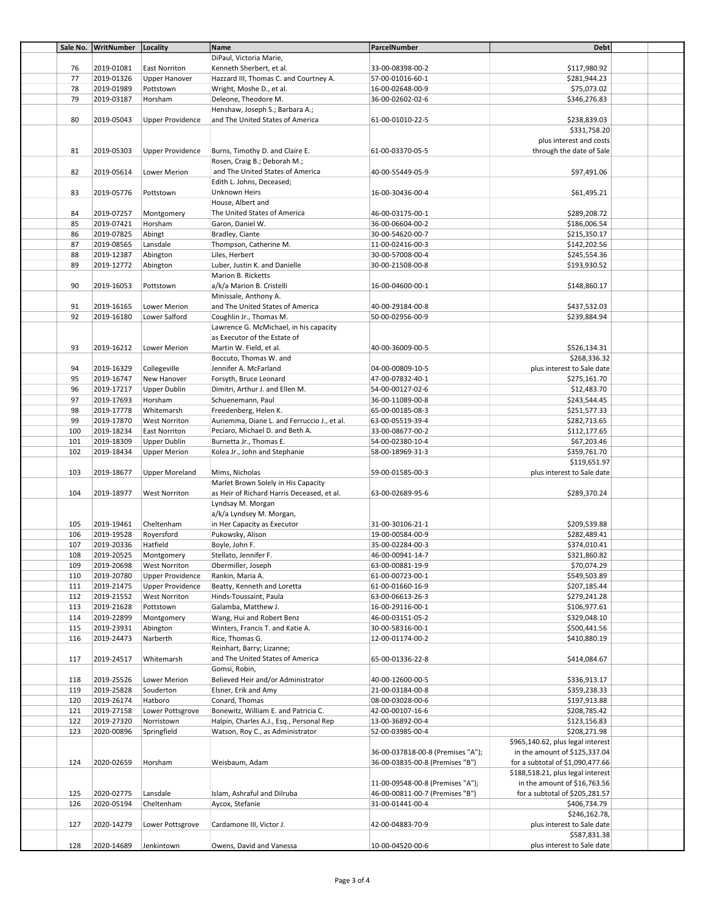| Sale No. | WritNumber | Locality                | Name                                        | ParcelNumber                      | <b>Debt</b>                       |  |
|----------|------------|-------------------------|---------------------------------------------|-----------------------------------|-----------------------------------|--|
|          |            |                         | DiPaul, Victoria Marie,                     |                                   |                                   |  |
| 76       | 2019-01081 | East Norriton           | Kenneth Sherbert, et al.                    | 33-00-08398-00-2                  | \$117,980.92                      |  |
| 77       | 2019-01326 | Upper Hanover           | Hazzard III, Thomas C. and Courtney A.      | 57-00-01016-60-1                  | \$281,944.23                      |  |
| 78       | 2019-01989 | Pottstown               | Wright, Moshe D., et al.                    | 16-00-02648-00-9                  | \$75,073.02                       |  |
| 79       | 2019-03187 | Horsham                 | Deleone, Theodore M.                        | 36-00-02602-02-6                  | \$346,276.83                      |  |
|          |            |                         | Henshaw, Joseph S.; Barbara A.;             |                                   |                                   |  |
| 80       | 2019-05043 | <b>Upper Providence</b> | and The United States of America            | 61-00-01010-22-5                  | \$238,839.03                      |  |
|          |            |                         |                                             |                                   | \$331,758.20                      |  |
|          |            |                         |                                             |                                   | plus interest and costs           |  |
| 81       | 2019-05303 | <b>Upper Providence</b> | Burns, Timothy D. and Claire E.             | 61-00-03370-05-5                  |                                   |  |
|          |            |                         |                                             |                                   | through the date of Sale          |  |
|          |            |                         | Rosen, Craig B.; Deborah M.;                |                                   |                                   |  |
| 82       | 2019-05614 | Lower Merion            | and The United States of America            | 40-00-55449-05-9                  | \$97,491.06                       |  |
|          |            |                         | Edith L. Johns, Deceased;                   |                                   |                                   |  |
| 83       | 2019-05776 | Pottstown               | Unknown Heirs                               | 16-00-30436-00-4                  | \$61,495.21                       |  |
|          |            |                         | House, Albert and                           |                                   |                                   |  |
| 84       | 2019-07257 | Montgomery              | The United States of America                | 46-00-03175-00-1                  | \$289,208.72                      |  |
| 85       | 2019-07421 | Horsham                 | Garon, Daniel W.                            | 36-00-06604-00-2                  | \$186,006.54                      |  |
| 86       | 2019-07825 | Abingt                  | Bradley, Ciante                             | 30-00-54620-00-7                  | \$215,350.17                      |  |
| 87       | 2019-08565 | Lansdale                | Thompson, Catherine M.                      | 11-00-02416-00-3                  | \$142,202.56                      |  |
| 88       | 2019-12387 | Abington                | Liles, Herbert                              | 30-00-57008-00-4                  | \$245,554.36                      |  |
| 89       | 2019-12772 | Abington                | Luber, Justin K. and Danielle               | 30-00-21508-00-8                  | \$193,930.52                      |  |
|          |            |                         | Marion B. Ricketts                          |                                   |                                   |  |
| 90       | 2019-16053 | Pottstown               | a/k/a Marion B. Cristelli                   | 16-00-04600-00-1                  | \$148,860.17                      |  |
|          |            |                         | Minissale, Anthony A.                       |                                   |                                   |  |
|          |            |                         | and The United States of America            |                                   |                                   |  |
| 91       | 2019-16165 | Lower Merion            |                                             | 40-00-29184-00-8                  | \$437,532.03                      |  |
| 92       | 2019-16180 | Lower Salford           | Coughlin Jr., Thomas M.                     | 50-00-02956-00-9                  | \$239,884.94                      |  |
|          |            |                         | Lawrence G. McMichael, in his capacity      |                                   |                                   |  |
|          |            |                         | as Executor of the Estate of                |                                   |                                   |  |
| 93       | 2019-16212 | Lower Merion            | Martin W. Field, et al.                     | 40-00-36009-00-5                  | \$526,134.31                      |  |
|          |            |                         | Boccuto, Thomas W. and                      |                                   | \$268,336.32                      |  |
| 94       | 2019-16329 | Collegeville            | Jennifer A. McFarland                       | 04-00-00809-10-5                  | plus interest to Sale date        |  |
| 95       | 2019-16747 | New Hanover             | Forsyth, Bruce Leonard                      | 47-00-07832-40-1                  | \$275,161.70                      |  |
| 96       | 2019-17217 | <b>Upper Dublin</b>     | Dimitri, Arthur J. and Ellen M.             | 54-00-00127-02-6                  | \$12,483.70                       |  |
| 97       | 2019-17693 | Horsham                 | Schuenemann, Paul                           | 36-00-11089-00-8                  | \$243,544.45                      |  |
| 98       | 2019-17778 | Whitemarsh              | Freedenberg, Helen K.                       | 65-00-00185-08-3                  | \$251,577.33                      |  |
| 99       | 2019-17870 | <b>West Norriton</b>    | Auriemma, Diane L. and Ferruccio J., et al. | 63-00-05519-39-4                  | \$282,713.65                      |  |
| 100      | 2019-18234 | East Norriton           | Peciaro, Michael D. and Beth A.             | 33-00-08677-00-2                  | \$112,177.65                      |  |
| 101      | 2019-18309 |                         | Burnetta Jr., Thomas E.                     | 54-00-02380-10-4                  |                                   |  |
|          |            | Upper Dublin            |                                             |                                   | \$67,203.46                       |  |
| 102      | 2019-18434 | <b>Upper Merion</b>     | Kolea Jr., John and Stephanie               | 58-00-18969-31-3                  | \$359,761.70                      |  |
|          |            |                         |                                             |                                   | \$119,651.97                      |  |
| 103      | 2019-18677 | Upper Moreland          | Mims, Nicholas                              | 59-00-01585-00-3                  | plus interest to Sale date        |  |
|          |            |                         | Marlet Brown Solely in His Capacity         |                                   |                                   |  |
| 104      | 2019-18977 | <b>West Norriton</b>    | as Heir of Richard Harris Deceased, et al.  | 63-00-02689-95-6                  | \$289,370.24                      |  |
|          |            |                         | Lyndsay M. Morgan                           |                                   |                                   |  |
|          |            |                         | a/k/a Lyndsey M. Morgan,                    |                                   |                                   |  |
| 105      | 2019-19461 | Cheltenham              | in Her Capacity as Executor                 | 31-00-30106-21-1                  | \$209,539.88                      |  |
| 106      | 2019-19528 | Royersford              | Pukowsky, Alison                            | 19-00-00584-00-9                  | \$282,489.41                      |  |
| 107      | 2019-20336 | Hatfield                | Boyle, John F.                              | 35-00-02284-00-3                  | \$374,010.41                      |  |
| 108      | 2019-20525 | Montgomery              | Stellato, Jennifer F.                       | 46-00-00941-14-7                  | \$321,860.82                      |  |
|          |            |                         |                                             |                                   |                                   |  |
| 109      | 2019-20698 | <b>West Norriton</b>    | Obermiller, Joseph                          | 63-00-00881-19-9                  | \$70,074.29                       |  |
| 110      | 2019-20780 | <b>Upper Providence</b> | Rankin, Maria A.                            | 61-00-00723-00-1                  | \$549,503.89                      |  |
| 111      | 2019-21475 | <b>Upper Providence</b> | Beatty, Kenneth and Loretta                 | 61-00-01660-16-9                  | \$207,185.44                      |  |
| 112      | 2019-21552 | <b>West Norriton</b>    | Hinds-Toussaint, Paula                      | 63-00-06613-26-3                  | \$279,241.28                      |  |
| 113      | 2019-21628 | Pottstown               | Galamba, Matthew J.                         | 16-00-29116-00-1                  | \$106,977.61                      |  |
| 114      | 2019-22899 | Montgomery              | Wang, Hui and Robert Benz                   | 46-00-03151-05-2                  | \$329,048.10                      |  |
| 115      | 2019-23931 | Abington                | Winters, Francis T. and Katie A.            | 30-00-58316-00-1                  | \$500,441.56                      |  |
| 116      | 2019-24473 | Narberth                | Rice, Thomas G.                             | 12-00-01174-00-2                  | \$410,880.19                      |  |
|          |            |                         | Reinhart, Barry; Lizanne;                   |                                   |                                   |  |
| 117      | 2019-24517 | Whitemarsh              | and The United States of America            | 65-00-01336-22-8                  | \$414,084.67                      |  |
|          |            |                         | Gomsi, Robin,                               |                                   |                                   |  |
| 118      | 2019-25526 | Lower Merion            | Believed Heir and/or Administrator          | 40-00-12600-00-5                  | \$336,913.17                      |  |
| 119      | 2019-25828 | Souderton               | Elsner, Erik and Amy                        | 21-00-03184-00-8                  | \$359,238.33                      |  |
|          |            |                         | Conard, Thomas                              | 08-00-03028-00-6                  |                                   |  |
| 120      | 2019-26174 | Hatboro                 |                                             |                                   | \$197,913.88                      |  |
| 121      | 2019-27158 | Lower Pottsgrove        | Bonewitz, William E. and Patricia C.        | 42-00-00107-16-6                  | \$208,785.42                      |  |
| 122      | 2019-27320 | Norristown              | Halpin, Charles A.J., Esq., Personal Rep    | 13-00-36892-00-4                  | \$123,156.83                      |  |
| 123      | 2020-00896 | Springfield             | Watson, Roy C., as Administrator            | 52-00-03985-00-4                  | \$208,271.98                      |  |
|          |            |                         |                                             |                                   | \$965,140.62, plus legal interest |  |
|          |            |                         |                                             | 36-00-037818-00-8 (Premises "A"); | in the amount of \$125,337.04     |  |
| 124      | 2020-02659 | Horsham                 | Weisbaum, Adam                              | 36-00-03835-00-8 (Premises "B")   | for a subtotal of \$1,090,477.66  |  |
|          |            |                         |                                             |                                   | \$188,518.21, plus legal interest |  |
|          |            |                         |                                             | 11-00-09548-00-8 (Premises "A");  | in the amount of $$16,763.56$     |  |
| 125      | 2020-02775 | Lansdale                | Islam, Ashraful and Dilruba                 | 46-00-00811-00-7 (Premises "B")   | for a subtotal of \$205,281.57    |  |
| 126      | 2020-05194 | Cheltenham              | Aycox, Stefanie                             | 31-00-01441-00-4                  | \$406,734.79                      |  |
|          |            |                         |                                             |                                   | \$246,162.78,                     |  |
| 127      | 2020-14279 | Lower Pottsgrove        | Cardamone III, Victor J.                    | 42-00-04883-70-9                  | plus interest to Sale date        |  |
|          |            |                         |                                             |                                   |                                   |  |
|          |            |                         |                                             |                                   | \$587,831.38                      |  |
| 128      | 2020-14689 | Jenkintown              | Owens, David and Vanessa                    | 10-00-04520-00-6                  | plus interest to Sale date        |  |